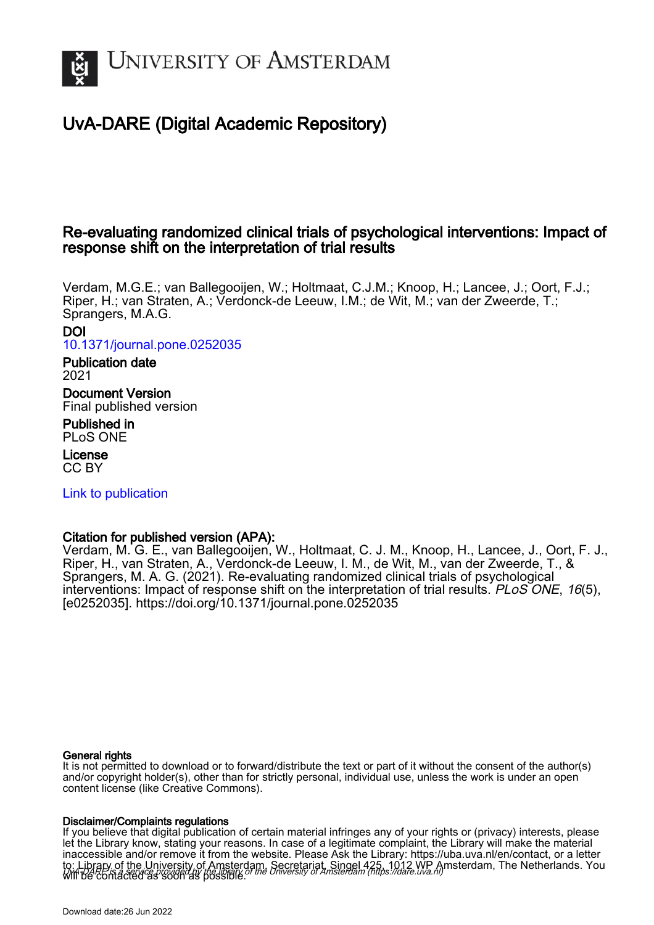

# UvA-DARE (Digital Academic Repository)

# Re-evaluating randomized clinical trials of psychological interventions: Impact of response shift on the interpretation of trial results

Verdam, M.G.E.; van Ballegooijen, W.; Holtmaat, C.J.M.; Knoop, H.; Lancee, J.; Oort, F.J.; Riper, H.; van Straten, A.; Verdonck-de Leeuw, I.M.; de Wit, M.; van der Zweerde, T.; Sprangers, M.A.G.

DOI [10.1371/journal.pone.0252035](https://doi.org/10.1371/journal.pone.0252035)

Publication date 2021

Document Version Final published version

Published in PLoS ONE

License CC BY

[Link to publication](https://dare.uva.nl/personal/pure/en/publications/reevaluating-randomized-clinical-trials-of-psychological-interventions-impact-of-response-shift-on-the-interpretation-of-trial-results(f0b2a57f-c568-4ccb-9c70-69f124bb42a4).html)

# Citation for published version (APA):

Verdam, M. G. E., van Ballegooijen, W., Holtmaat, C. J. M., Knoop, H., Lancee, J., Oort, F. J., Riper, H., van Straten, A., Verdonck-de Leeuw, I. M., de Wit, M., van der Zweerde, T., & Sprangers, M. A. G. (2021). Re-evaluating randomized clinical trials of psychological interventions: Impact of response shift on the interpretation of trial results. PLoS ONE, 16(5), [e0252035]. <https://doi.org/10.1371/journal.pone.0252035>

#### General rights

It is not permitted to download or to forward/distribute the text or part of it without the consent of the author(s) and/or copyright holder(s), other than for strictly personal, individual use, unless the work is under an open content license (like Creative Commons).

## Disclaimer/Complaints regulations

UvA-DARE is a service provided by the library of the University of Amsterdam (http*s*://dare.uva.nl) If you believe that digital publication of certain material infringes any of your rights or (privacy) interests, please let the Library know, stating your reasons. In case of a legitimate complaint, the Library will make the material inaccessible and/or remove it from the website. Please Ask the Library: https://uba.uva.nl/en/contact, or a letter to: Library of the University of Amsterdam, Secretariat, Singel 425, 1012 WP Amsterdam, The Netherlands. You will be contacted as soon as possible.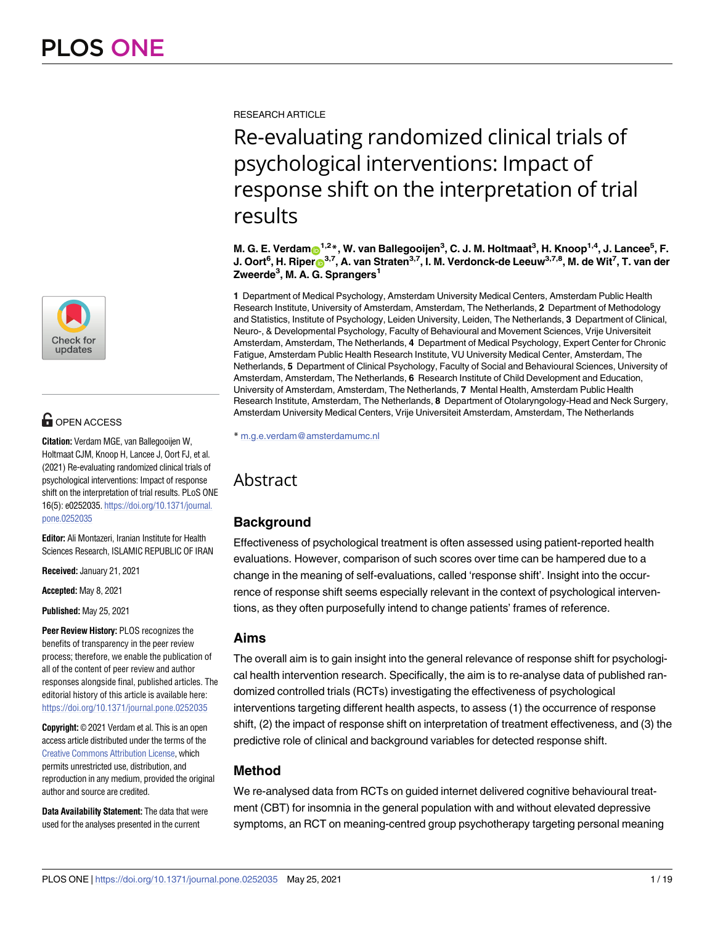

# **G** OPEN ACCESS

**Citation:** Verdam MGE, van Ballegooijen W, Holtmaat CJM, Knoop H, Lancee J, Oort FJ, et al. (2021) Re-evaluating randomized clinical trials of psychological interventions: Impact of response shift on the interpretation of trial results. PLoS ONE 16(5): e0252035. [https://doi.org/10.1371/journal.](https://doi.org/10.1371/journal.pone.0252035) [pone.0252035](https://doi.org/10.1371/journal.pone.0252035)

**Editor:** Ali Montazeri, Iranian Institute for Health Sciences Research, ISLAMIC REPUBLIC OF IRAN

**Received:** January 21, 2021

**Accepted:** May 8, 2021

**Published:** May 25, 2021

**Peer Review History:** PLOS recognizes the benefits of transparency in the peer review process; therefore, we enable the publication of all of the content of peer review and author responses alongside final, published articles. The editorial history of this article is available here: <https://doi.org/10.1371/journal.pone.0252035>

**Copyright:** © 2021 Verdam et al. This is an open access article distributed under the terms of the Creative Commons [Attribution](http://creativecommons.org/licenses/by/4.0/) License, which permits unrestricted use, distribution, and reproduction in any medium, provided the original author and source are credited.

**Data Availability Statement:** The data that were used for the analyses presented in the current

RESEARCH ARTICLE

# Re-evaluating randomized clinical trials of psychological interventions: Impact of response shift on the interpretation of trial results

M. G. E. Verdam⊕<sup>1,2</sup>\*, W. van Ballegooijen<sup>3</sup>, C. J. M. Holtmaat<sup>3</sup>, H. Knoop<sup>1,4</sup>, J. Lancee<sup>5</sup>, F. J. Oort<sup>6</sup>, H. Riper®<sup>3,7</sup>, A. van Straten<sup>3,7</sup>, I. M. Verdonck-de Leeuw<sup>3,7,8</sup>, M. de Wit<sup>7</sup>, T. van der **Zweerde3 , M. A. G. Sprangers1**

**1** Department of Medical Psychology, Amsterdam University Medical Centers, Amsterdam Public Health Research Institute, University of Amsterdam, Amsterdam, The Netherlands, **2** Department of Methodology and Statistics, Institute of Psychology, Leiden University, Leiden, The Netherlands, **3** Department of Clinical, Neuro-, & Developmental Psychology, Faculty of Behavioural and Movement Sciences, Vrije Universiteit Amsterdam, Amsterdam, The Netherlands, **4** Department of Medical Psychology, Expert Center for Chronic Fatigue, Amsterdam Public Health Research Institute, VU University Medical Center, Amsterdam, The Netherlands, **5** Department of Clinical Psychology, Faculty of Social and Behavioural Sciences, University of Amsterdam, Amsterdam, The Netherlands, **6** Research Institute of Child Development and Education, University of Amsterdam, Amsterdam, The Netherlands, **7** Mental Health, Amsterdam Public Health Research Institute, Amsterdam, The Netherlands, **8** Department of Otolaryngology-Head and Neck Surgery, Amsterdam University Medical Centers, Vrije Universiteit Amsterdam, Amsterdam, The Netherlands

\* m.g.e.verdam@amsterdamumc.nl

# Abstract

# **Background**

Effectiveness of psychological treatment is often assessed using patient-reported health evaluations. However, comparison of such scores over time can be hampered due to a change in the meaning of self-evaluations, called 'response shift'. Insight into the occurrence of response shift seems especially relevant in the context of psychological interventions, as they often purposefully intend to change patients' frames of reference.

# **Aims**

The overall aim is to gain insight into the general relevance of response shift for psychological health intervention research. Specifically, the aim is to re-analyse data of published randomized controlled trials (RCTs) investigating the effectiveness of psychological interventions targeting different health aspects, to assess (1) the occurrence of response shift, (2) the impact of response shift on interpretation of treatment effectiveness, and (3) the predictive role of clinical and background variables for detected response shift.

# **Method**

We re-analysed data from RCTs on guided internet delivered cognitive behavioural treatment (CBT) for insomnia in the general population with and without elevated depressive symptoms, an RCT on meaning-centred group psychotherapy targeting personal meaning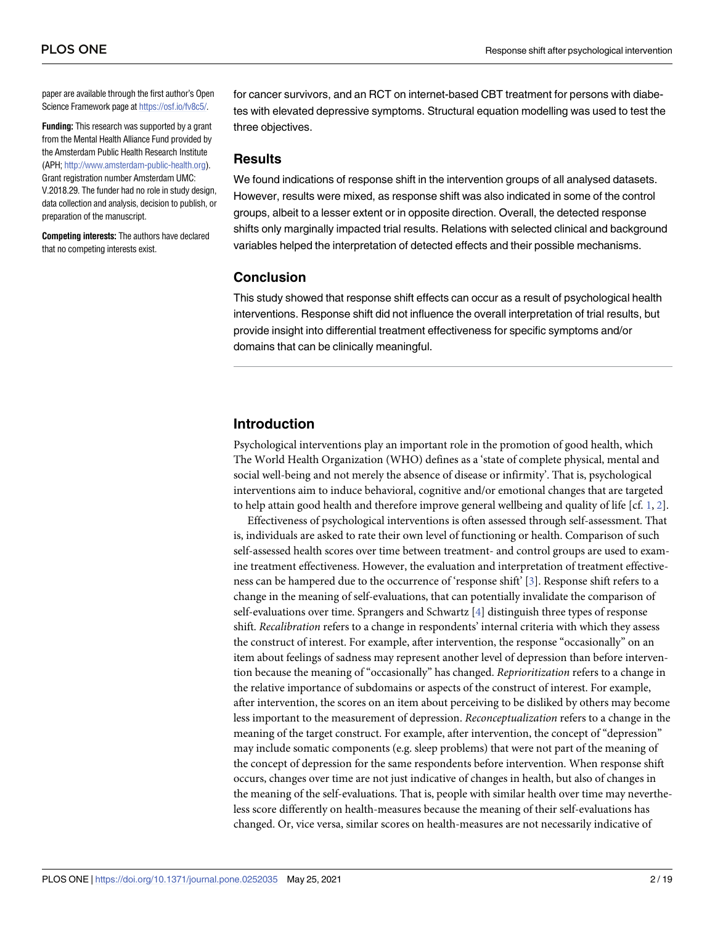<span id="page-2-0"></span>paper are available through the first author's Open Science Framework page at [https://osf.io/fv8c5/.](https://osf.io/fv8c5/)

**Funding:** This research was supported by a grant from the Mental Health Alliance Fund provided by the Amsterdam Public Health Research Institute (APH; <http://www.amsterdam-public-health.org>). Grant registration number Amsterdam UMC: V.2018.29. The funder had no role in study design, data collection and analysis, decision to publish, or preparation of the manuscript.

**Competing interests:** The authors have declared that no competing interests exist.

for cancer survivors, and an RCT on internet-based CBT treatment for persons with diabetes with elevated depressive symptoms. Structural equation modelling was used to test the three objectives.

#### **Results**

We found indications of response shift in the intervention groups of all analysed datasets. However, results were mixed, as response shift was also indicated in some of the control groups, albeit to a lesser extent or in opposite direction. Overall, the detected response shifts only marginally impacted trial results. Relations with selected clinical and background variables helped the interpretation of detected effects and their possible mechanisms.

#### **Conclusion**

This study showed that response shift effects can occur as a result of psychological health interventions. Response shift did not influence the overall interpretation of trial results, but provide insight into differential treatment effectiveness for specific symptoms and/or domains that can be clinically meaningful.

# **Introduction**

Psychological interventions play an important role in the promotion of good health, which The World Health Organization (WHO) defines as a 'state of complete physical, mental and social well-being and not merely the absence of disease or infirmity'. That is, psychological interventions aim to induce behavioral, cognitive and/or emotional changes that are targeted to help attain good health and therefore improve general wellbeing and quality of life [cf. [1](#page-17-0), [2](#page-17-0)].

Effectiveness of psychological interventions is often assessed through self-assessment. That is, individuals are asked to rate their own level of functioning or health. Comparison of such self-assessed health scores over time between treatment- and control groups are used to examine treatment effectiveness. However, the evaluation and interpretation of treatment effectiveness can be hampered due to the occurrence of 'response shift' [\[3\]](#page-17-0). Response shift refers to a change in the meaning of self-evaluations, that can potentially invalidate the comparison of self-evaluations over time. Sprangers and Schwartz [\[4](#page-17-0)] distinguish three types of response shift. *Recalibration* refers to a change in respondents' internal criteria with which they assess the construct of interest. For example, after intervention, the response "occasionally" on an item about feelings of sadness may represent another level of depression than before intervention because the meaning of "occasionally" has changed. *Reprioritization* refers to a change in the relative importance of subdomains or aspects of the construct of interest. For example, after intervention, the scores on an item about perceiving to be disliked by others may become less important to the measurement of depression. *Reconceptualization* refers to a change in the meaning of the target construct. For example, after intervention, the concept of "depression" may include somatic components (e.g. sleep problems) that were not part of the meaning of the concept of depression for the same respondents before intervention. When response shift occurs, changes over time are not just indicative of changes in health, but also of changes in the meaning of the self-evaluations. That is, people with similar health over time may nevertheless score differently on health-measures because the meaning of their self-evaluations has changed. Or, vice versa, similar scores on health-measures are not necessarily indicative of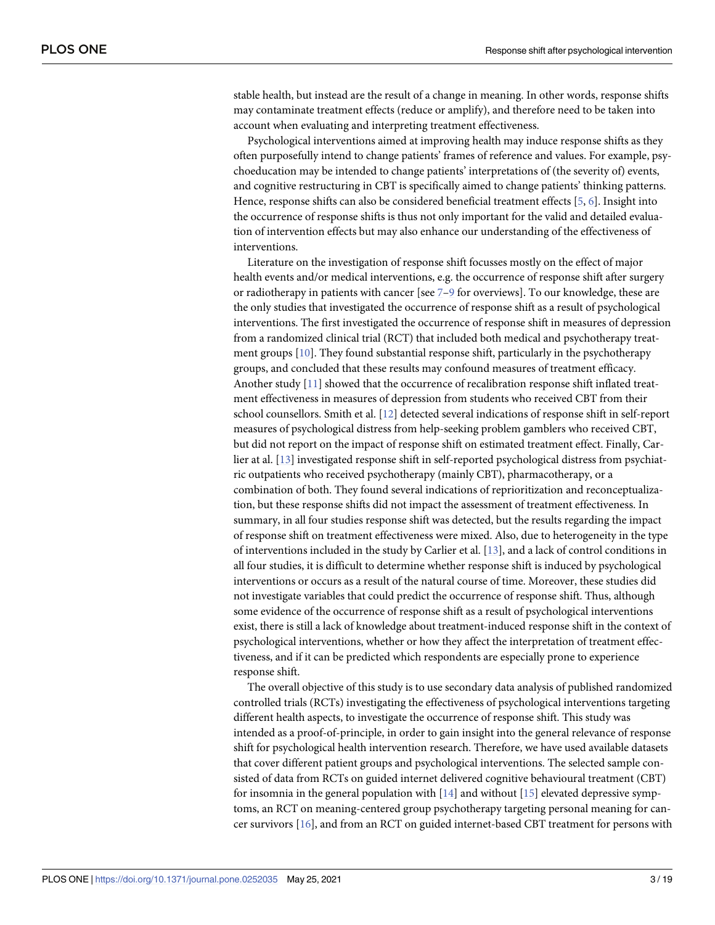<span id="page-3-0"></span>stable health, but instead are the result of a change in meaning. In other words, response shifts may contaminate treatment effects (reduce or amplify), and therefore need to be taken into account when evaluating and interpreting treatment effectiveness.

Psychological interventions aimed at improving health may induce response shifts as they often purposefully intend to change patients' frames of reference and values. For example, psychoeducation may be intended to change patients' interpretations of (the severity of) events, and cognitive restructuring in CBT is specifically aimed to change patients' thinking patterns. Hence, response shifts can also be considered beneficial treatment effects [[5,](#page-17-0) [6\]](#page-17-0). Insight into the occurrence of response shifts is thus not only important for the valid and detailed evaluation of intervention effects but may also enhance our understanding of the effectiveness of interventions.

Literature on the investigation of response shift focusses mostly on the effect of major health events and/or medical interventions, e.g. the occurrence of response shift after surgery or radiotherapy in patients with cancer [see [7](#page-17-0)–[9](#page-17-0) for overviews]. To our knowledge, these are the only studies that investigated the occurrence of response shift as a result of psychological interventions. The first investigated the occurrence of response shift in measures of depression from a randomized clinical trial (RCT) that included both medical and psychotherapy treatment groups [\[10\]](#page-17-0). They found substantial response shift, particularly in the psychotherapy groups, and concluded that these results may confound measures of treatment efficacy. Another study [\[11\]](#page-17-0) showed that the occurrence of recalibration response shift inflated treatment effectiveness in measures of depression from students who received CBT from their school counsellors. Smith et al. [[12](#page-17-0)] detected several indications of response shift in self-report measures of psychological distress from help-seeking problem gamblers who received CBT, but did not report on the impact of response shift on estimated treatment effect. Finally, Carlier at al. [\[13\]](#page-17-0) investigated response shift in self-reported psychological distress from psychiatric outpatients who received psychotherapy (mainly CBT), pharmacotherapy, or a combination of both. They found several indications of reprioritization and reconceptualization, but these response shifts did not impact the assessment of treatment effectiveness. In summary, in all four studies response shift was detected, but the results regarding the impact of response shift on treatment effectiveness were mixed. Also, due to heterogeneity in the type of interventions included in the study by Carlier et al. [\[13\]](#page-17-0), and a lack of control conditions in all four studies, it is difficult to determine whether response shift is induced by psychological interventions or occurs as a result of the natural course of time. Moreover, these studies did not investigate variables that could predict the occurrence of response shift. Thus, although some evidence of the occurrence of response shift as a result of psychological interventions exist, there is still a lack of knowledge about treatment-induced response shift in the context of psychological interventions, whether or how they affect the interpretation of treatment effectiveness, and if it can be predicted which respondents are especially prone to experience response shift.

The overall objective of this study is to use secondary data analysis of published randomized controlled trials (RCTs) investigating the effectiveness of psychological interventions targeting different health aspects, to investigate the occurrence of response shift. This study was intended as a proof-of-principle, in order to gain insight into the general relevance of response shift for psychological health intervention research. Therefore, we have used available datasets that cover different patient groups and psychological interventions. The selected sample consisted of data from RCTs on guided internet delivered cognitive behavioural treatment (CBT) for insomnia in the general population with  $[14]$  and without  $[15]$  elevated depressive symptoms, an RCT on meaning-centered group psychotherapy targeting personal meaning for cancer survivors [[16](#page-18-0)], and from an RCT on guided internet-based CBT treatment for persons with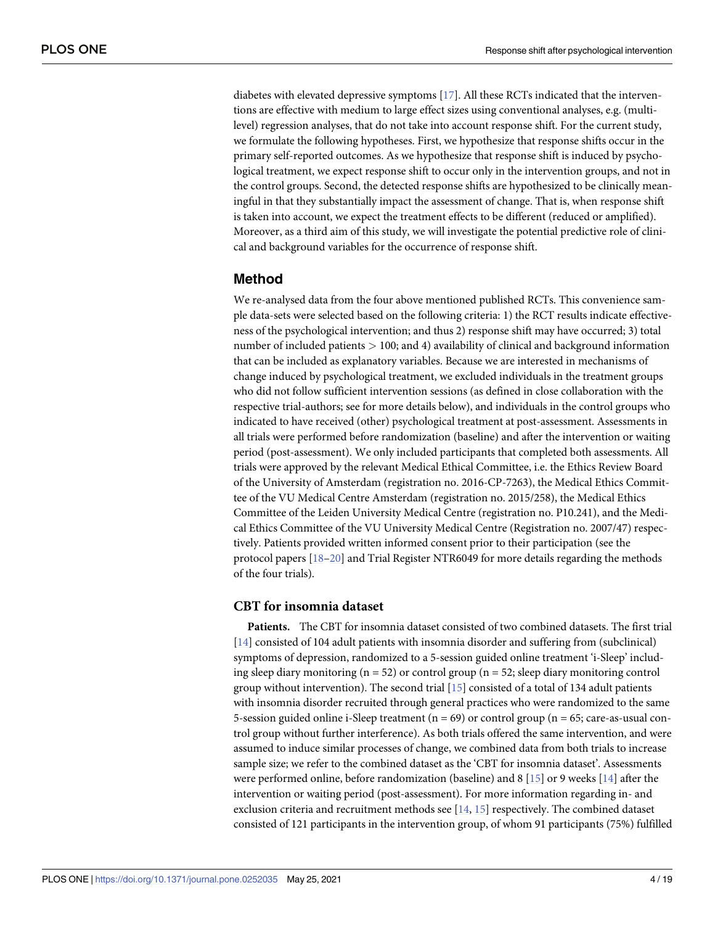<span id="page-4-0"></span>diabetes with elevated depressive symptoms [[17](#page-18-0)]. All these RCTs indicated that the interventions are effective with medium to large effect sizes using conventional analyses, e.g. (multilevel) regression analyses, that do not take into account response shift. For the current study, we formulate the following hypotheses. First, we hypothesize that response shifts occur in the primary self-reported outcomes. As we hypothesize that response shift is induced by psychological treatment, we expect response shift to occur only in the intervention groups, and not in the control groups. Second, the detected response shifts are hypothesized to be clinically meaningful in that they substantially impact the assessment of change. That is, when response shift is taken into account, we expect the treatment effects to be different (reduced or amplified). Moreover, as a third aim of this study, we will investigate the potential predictive role of clinical and background variables for the occurrence of response shift.

## **Method**

We re-analysed data from the four above mentioned published RCTs. This convenience sample data-sets were selected based on the following criteria: 1) the RCT results indicate effectiveness of the psychological intervention; and thus 2) response shift may have occurred; 3) total number of included patients *>* 100; and 4) availability of clinical and background information that can be included as explanatory variables. Because we are interested in mechanisms of change induced by psychological treatment, we excluded individuals in the treatment groups who did not follow sufficient intervention sessions (as defined in close collaboration with the respective trial-authors; see for more details below), and individuals in the control groups who indicated to have received (other) psychological treatment at post-assessment. Assessments in all trials were performed before randomization (baseline) and after the intervention or waiting period (post-assessment). We only included participants that completed both assessments. All trials were approved by the relevant Medical Ethical Committee, i.e. the Ethics Review Board of the University of Amsterdam (registration no. 2016-CP-7263), the Medical Ethics Committee of the VU Medical Centre Amsterdam (registration no. 2015/258), the Medical Ethics Committee of the Leiden University Medical Centre (registration no. P10.241), and the Medical Ethics Committee of the VU University Medical Centre (Registration no. 2007/47) respectively. Patients provided written informed consent prior to their participation (see the protocol papers [[18](#page-18-0)–[20\]](#page-18-0) and Trial Register NTR6049 for more details regarding the methods of the four trials).

# **CBT for insomnia dataset**

**Patients.** The CBT for insomnia dataset consisted of two combined datasets. The first trial [\[14\]](#page-17-0) consisted of 104 adult patients with insomnia disorder and suffering from (subclinical) symptoms of depression, randomized to a 5-session guided online treatment 'i-Sleep' including sleep diary monitoring ( $n = 52$ ) or control group ( $n = 52$ ; sleep diary monitoring control group without intervention). The second trial  $[15]$  $[15]$  $[15]$  consisted of a total of 134 adult patients with insomnia disorder recruited through general practices who were randomized to the same 5-session guided online i-Sleep treatment ( $n = 69$ ) or control group ( $n = 65$ ; care-as-usual control group without further interference). As both trials offered the same intervention, and were assumed to induce similar processes of change, we combined data from both trials to increase sample size; we refer to the combined dataset as the 'CBT for insomnia dataset'. Assessments were performed online, before randomization (baseline) and 8 [[15](#page-18-0)] or 9 weeks [\[14\]](#page-17-0) after the intervention or waiting period (post-assessment). For more information regarding in- and exclusion criteria and recruitment methods see [\[14,](#page-17-0) [15\]](#page-18-0) respectively. The combined dataset consisted of 121 participants in the intervention group, of whom 91 participants (75%) fulfilled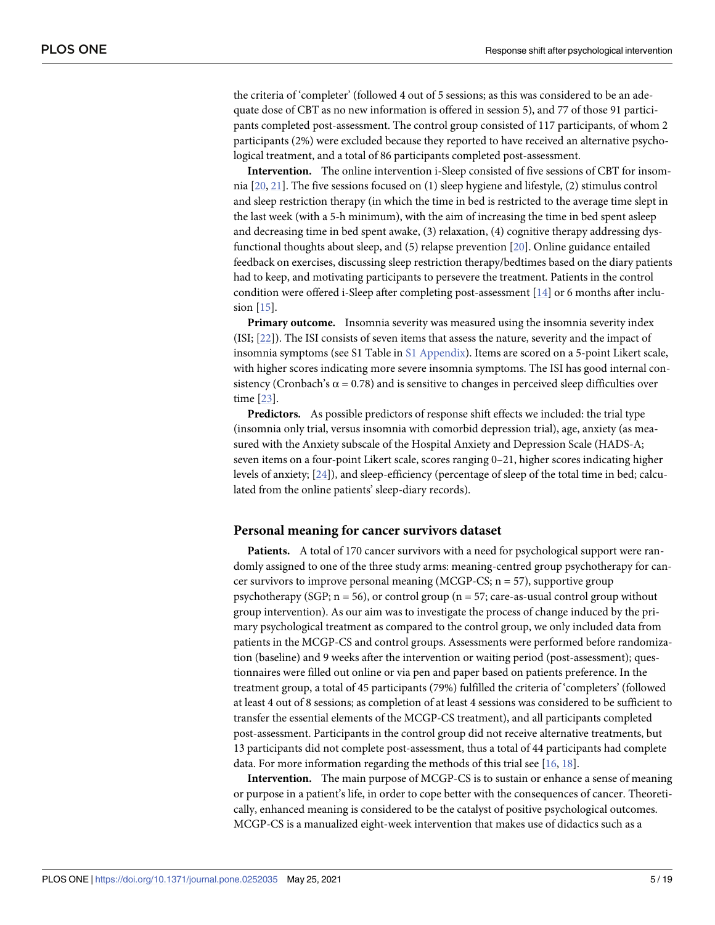<span id="page-5-0"></span>the criteria of 'completer' (followed 4 out of 5 sessions; as this was considered to be an adequate dose of CBT as no new information is offered in session 5), and 77 of those 91 participants completed post-assessment. The control group consisted of 117 participants, of whom 2 participants (2%) were excluded because they reported to have received an alternative psychological treatment, and a total of 86 participants completed post-assessment.

Intervention. The online intervention i-Sleep consisted of five sessions of CBT for insomnia [\[20,](#page-18-0) [21\]](#page-18-0). The five sessions focused on (1) sleep hygiene and lifestyle, (2) stimulus control and sleep restriction therapy (in which the time in bed is restricted to the average time slept in the last week (with a 5-h minimum), with the aim of increasing the time in bed spent asleep and decreasing time in bed spent awake, (3) relaxation, (4) cognitive therapy addressing dysfunctional thoughts about sleep, and (5) relapse prevention [[20](#page-18-0)]. Online guidance entailed feedback on exercises, discussing sleep restriction therapy/bedtimes based on the diary patients had to keep, and motivating participants to persevere the treatment. Patients in the control condition were offered i-Sleep after completing post-assessment [[14](#page-17-0)] or 6 months after inclusion [\[15\]](#page-18-0).

**Primary outcome.** Insomnia severity was measured using the insomnia severity index (ISI; [[22](#page-18-0)]). The ISI consists of seven items that assess the nature, severity and the impact of insomnia symptoms (see S1 Table in S1 [Appendix\)](#page-16-0). Items are scored on a 5-point Likert scale, with higher scores indicating more severe insomnia symptoms. The ISI has good internal consistency (Cronbach's  $\alpha$  = 0.78) and is sensitive to changes in perceived sleep difficulties over time [[23](#page-18-0)].

**Predictors.** As possible predictors of response shift effects we included: the trial type (insomnia only trial, versus insomnia with comorbid depression trial), age, anxiety (as measured with the Anxiety subscale of the Hospital Anxiety and Depression Scale (HADS-A; seven items on a four-point Likert scale, scores ranging 0–21, higher scores indicating higher levels of anxiety; [[24](#page-18-0)]), and sleep-efficiency (percentage of sleep of the total time in bed; calculated from the online patients' sleep-diary records).

#### **Personal meaning for cancer survivors dataset**

**Patients.** A total of 170 cancer survivors with a need for psychological support were randomly assigned to one of the three study arms: meaning-centred group psychotherapy for cancer survivors to improve personal meaning (MCGP-CS;  $n = 57$ ), supportive group psychotherapy (SGP;  $n = 56$ ), or control group ( $n = 57$ ; care-as-usual control group without group intervention). As our aim was to investigate the process of change induced by the primary psychological treatment as compared to the control group, we only included data from patients in the MCGP-CS and control groups. Assessments were performed before randomization (baseline) and 9 weeks after the intervention or waiting period (post-assessment); questionnaires were filled out online or via pen and paper based on patients preference. In the treatment group, a total of 45 participants (79%) fulfilled the criteria of 'completers' (followed at least 4 out of 8 sessions; as completion of at least 4 sessions was considered to be sufficient to transfer the essential elements of the MCGP-CS treatment), and all participants completed post-assessment. Participants in the control group did not receive alternative treatments, but 13 participants did not complete post-assessment, thus a total of 44 participants had complete data. For more information regarding the methods of this trial see  $[16, 18]$  $[16, 18]$  $[16, 18]$ .

**Intervention.** The main purpose of MCGP-CS is to sustain or enhance a sense of meaning or purpose in a patient's life, in order to cope better with the consequences of cancer. Theoretically, enhanced meaning is considered to be the catalyst of positive psychological outcomes. MCGP-CS is a manualized eight-week intervention that makes use of didactics such as a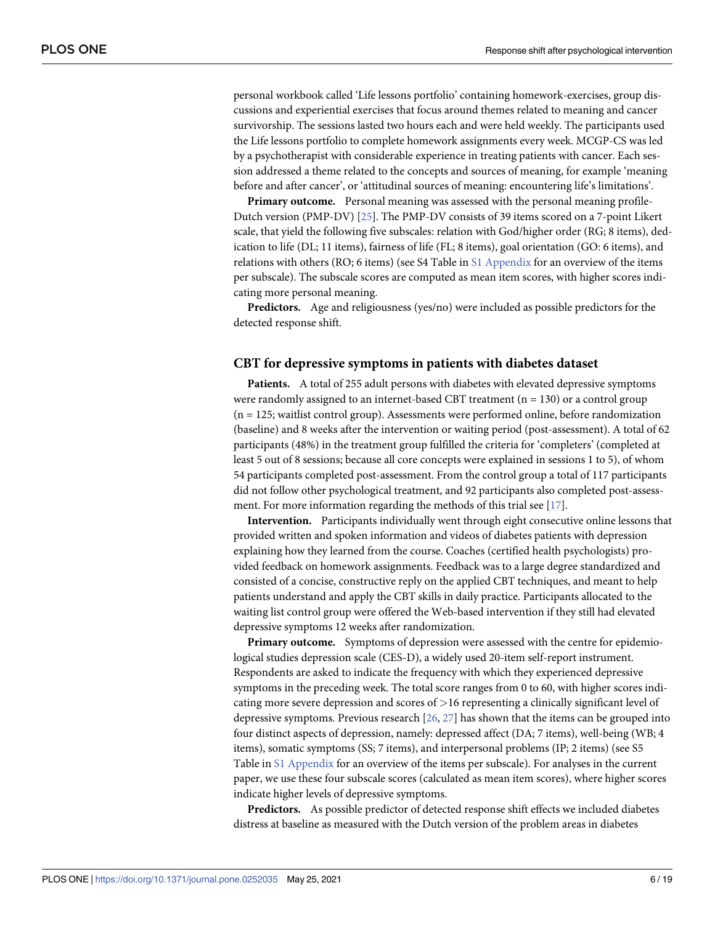<span id="page-6-0"></span>personal workbook called 'Life lessons portfolio' containing homework-exercises, group discussions and experiential exercises that focus around themes related to meaning and cancer survivorship. The sessions lasted two hours each and were held weekly. The participants used the Life lessons portfolio to complete homework assignments every week. MCGP-CS was led by a psychotherapist with considerable experience in treating patients with cancer. Each session addressed a theme related to the concepts and sources of meaning, for example 'meaning before and after cancer', or 'attitudinal sources of meaning: encountering life's limitations'.

**Primary outcome.** Personal meaning was assessed with the personal meaning profile-Dutch version (PMP-DV) [\[25\]](#page-18-0). The PMP-DV consists of 39 items scored on a 7-point Likert scale, that yield the following five subscales: relation with God/higher order (RG; 8 items), dedication to life (DL; 11 items), fairness of life (FL; 8 items), goal orientation (GO: 6 items), and relations with others (RO; 6 items) (see S4 Table in S1 [Appendix](#page-16-0) for an overview of the items per subscale). The subscale scores are computed as mean item scores, with higher scores indicating more personal meaning.

**Predictors.** Age and religiousness (yes/no) were included as possible predictors for the detected response shift.

#### **CBT for depressive symptoms in patients with diabetes dataset**

Patients. A total of 255 adult persons with diabetes with elevated depressive symptoms were randomly assigned to an internet-based CBT treatment  $(n = 130)$  or a control group (n = 125; waitlist control group). Assessments were performed online, before randomization (baseline) and 8 weeks after the intervention or waiting period (post-assessment). A total of 62 participants (48%) in the treatment group fulfilled the criteria for 'completers' (completed at least 5 out of 8 sessions; because all core concepts were explained in sessions 1 to 5), of whom 54 participants completed post-assessment. From the control group a total of 117 participants did not follow other psychological treatment, and 92 participants also completed post-assessment. For more information regarding the methods of this trial see [\[17\]](#page-18-0).

**Intervention.** Participants individually went through eight consecutive online lessons that provided written and spoken information and videos of diabetes patients with depression explaining how they learned from the course. Coaches (certified health psychologists) provided feedback on homework assignments. Feedback was to a large degree standardized and consisted of a concise, constructive reply on the applied CBT techniques, and meant to help patients understand and apply the CBT skills in daily practice. Participants allocated to the waiting list control group were offered the Web-based intervention if they still had elevated depressive symptoms 12 weeks after randomization.

**Primary outcome.** Symptoms of depression were assessed with the centre for epidemiological studies depression scale (CES-D), a widely used 20-item self-report instrument. Respondents are asked to indicate the frequency with which they experienced depressive symptoms in the preceding week. The total score ranges from 0 to 60, with higher scores indicating more severe depression and scores of *>*16 representing a clinically significant level of depressive symptoms. Previous research [\[26,](#page-18-0) [27\]](#page-18-0) has shown that the items can be grouped into four distinct aspects of depression, namely: depressed affect (DA; 7 items), well-being (WB; 4 items), somatic symptoms (SS; 7 items), and interpersonal problems (IP; 2 items) (see S5 Table in S1 [Appendix](#page-16-0) for an overview of the items per subscale). For analyses in the current paper, we use these four subscale scores (calculated as mean item scores), where higher scores indicate higher levels of depressive symptoms.

**Predictors.** As possible predictor of detected response shift effects we included diabetes distress at baseline as measured with the Dutch version of the problem areas in diabetes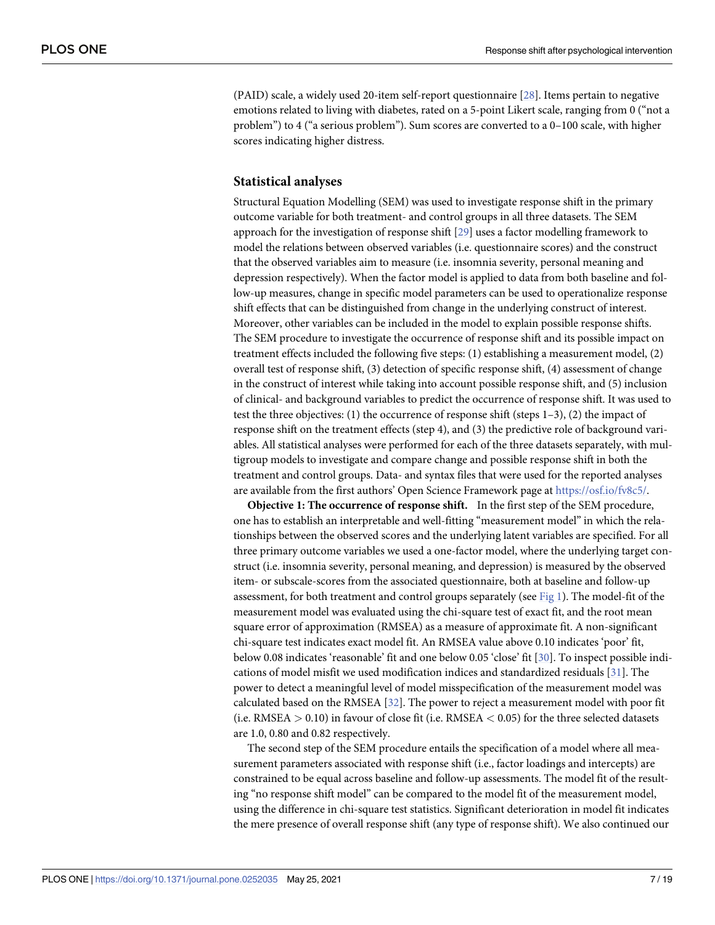<span id="page-7-0"></span>(PAID) scale, a widely used 20-item self-report questionnaire [\[28\]](#page-18-0). Items pertain to negative emotions related to living with diabetes, rated on a 5-point Likert scale, ranging from 0 ("not a problem") to 4 ("a serious problem"). Sum scores are converted to a 0–100 scale, with higher scores indicating higher distress.

#### **Statistical analyses**

Structural Equation Modelling (SEM) was used to investigate response shift in the primary outcome variable for both treatment- and control groups in all three datasets. The SEM approach for the investigation of response shift [\[29\]](#page-18-0) uses a factor modelling framework to model the relations between observed variables (i.e. questionnaire scores) and the construct that the observed variables aim to measure (i.e. insomnia severity, personal meaning and depression respectively). When the factor model is applied to data from both baseline and follow-up measures, change in specific model parameters can be used to operationalize response shift effects that can be distinguished from change in the underlying construct of interest. Moreover, other variables can be included in the model to explain possible response shifts. The SEM procedure to investigate the occurrence of response shift and its possible impact on treatment effects included the following five steps: (1) establishing a measurement model, (2) overall test of response shift, (3) detection of specific response shift, (4) assessment of change in the construct of interest while taking into account possible response shift, and (5) inclusion of clinical- and background variables to predict the occurrence of response shift. It was used to test the three objectives:  $(1)$  the occurrence of response shift (steps  $1-3$ ),  $(2)$  the impact of response shift on the treatment effects (step 4), and (3) the predictive role of background variables. All statistical analyses were performed for each of the three datasets separately, with multigroup models to investigate and compare change and possible response shift in both the treatment and control groups. Data- and syntax files that were used for the reported analyses are available from the first authors' Open Science Framework page at [https://osf.io/fv8c5/.](https://osf.io/fv8c5/)

**Objective 1: The occurrence of response shift.** In the first step of the SEM procedure, one has to establish an interpretable and well-fitting "measurement model" in which the relationships between the observed scores and the underlying latent variables are specified. For all three primary outcome variables we used a one-factor model, where the underlying target construct (i.e. insomnia severity, personal meaning, and depression) is measured by the observed item- or subscale-scores from the associated questionnaire, both at baseline and follow-up assessment, for both treatment and control groups separately (see [Fig](#page-8-0) 1). The model-fit of the measurement model was evaluated using the chi-square test of exact fit, and the root mean square error of approximation (RMSEA) as a measure of approximate fit. A non-significant chi-square test indicates exact model fit. An RMSEA value above 0.10 indicates 'poor' fit, below 0.08 indicates 'reasonable' fit and one below 0.05 'close' fit [\[30\]](#page-18-0). To inspect possible indications of model misfit we used modification indices and standardized residuals [\[31\]](#page-18-0). The power to detect a meaningful level of model misspecification of the measurement model was calculated based on the RMSEA [\[32\]](#page-18-0). The power to reject a measurement model with poor fit (i.e. RMSEA *>* 0.10) in favour of close fit (i.e. RMSEA *<* 0.05) for the three selected datasets are 1.0, 0.80 and 0.82 respectively.

The second step of the SEM procedure entails the specification of a model where all measurement parameters associated with response shift (i.e., factor loadings and intercepts) are constrained to be equal across baseline and follow-up assessments. The model fit of the resulting "no response shift model" can be compared to the model fit of the measurement model, using the difference in chi-square test statistics. Significant deterioration in model fit indicates the mere presence of overall response shift (any type of response shift). We also continued our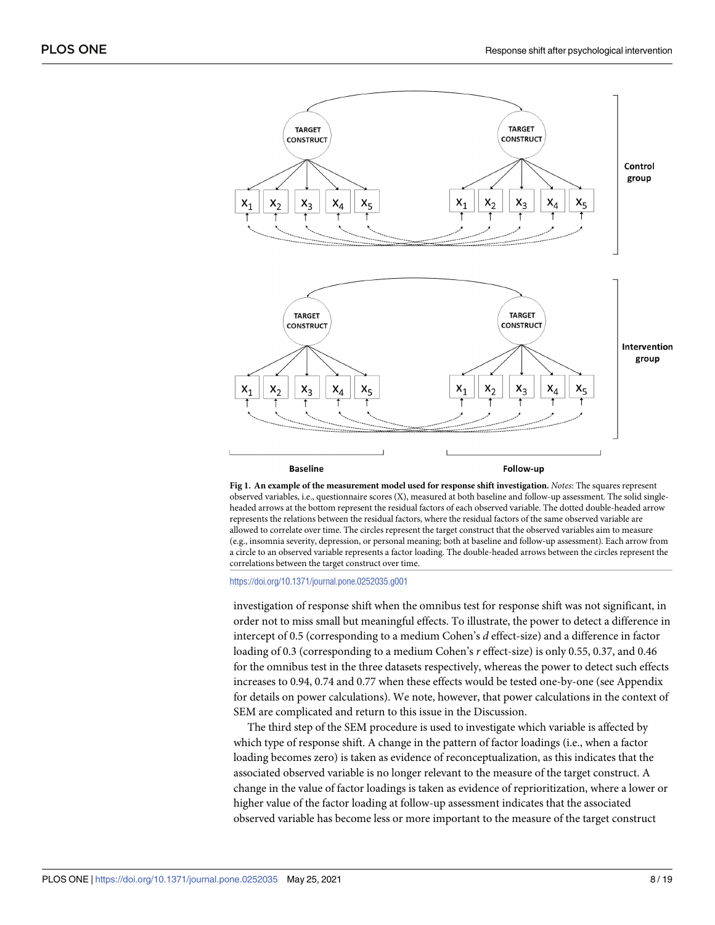<span id="page-8-0"></span>

**[Fig](#page-7-0) 1. An example of the measurement model used for response shift investigation.** *Notes*: The squares represent observed variables, i.e., questionnaire scores (X), measured at both baseline and follow-up assessment. The solid singleheaded arrows at the bottom represent the residual factors of each observed variable. The dotted double-headed arrow represents the relations between the residual factors, where the residual factors of the same observed variable are allowed to correlate over time. The circles represent the target construct that the observed variables aim to measure (e.g., insomnia severity, depression, or personal meaning; both at baseline and follow-up assessment). Each arrow from a circle to an observed variable represents a factor loading. The double-headed arrows between the circles represent the correlations between the target construct over time.

<https://doi.org/10.1371/journal.pone.0252035.g001>

investigation of response shift when the omnibus test for response shift was not significant, in order not to miss small but meaningful effects. To illustrate, the power to detect a difference in intercept of 0.5 (corresponding to a medium Cohen's *d* effect-size) and a difference in factor loading of 0.3 (corresponding to a medium Cohen's *r* effect-size) is only 0.55, 0.37, and 0.46 for the omnibus test in the three datasets respectively, whereas the power to detect such effects increases to 0.94, 0.74 and 0.77 when these effects would be tested one-by-one (see Appendix for details on power calculations). We note, however, that power calculations in the context of SEM are complicated and return to this issue in the Discussion.

The third step of the SEM procedure is used to investigate which variable is affected by which type of response shift. A change in the pattern of factor loadings (i.e., when a factor loading becomes zero) is taken as evidence of reconceptualization, as this indicates that the associated observed variable is no longer relevant to the measure of the target construct. A change in the value of factor loadings is taken as evidence of reprioritization, where a lower or higher value of the factor loading at follow-up assessment indicates that the associated observed variable has become less or more important to the measure of the target construct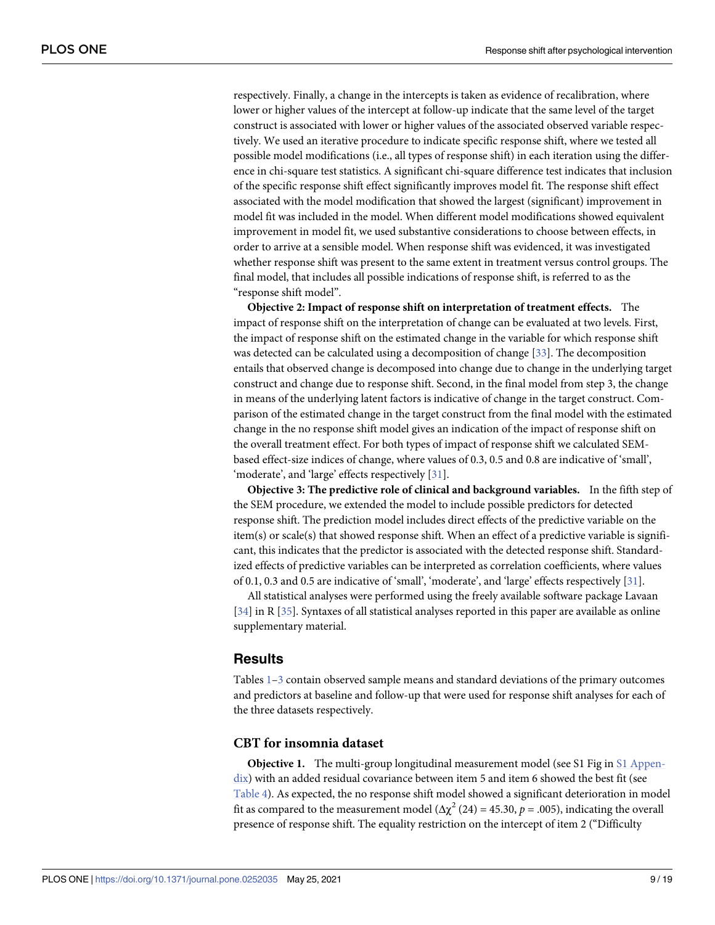<span id="page-9-0"></span>respectively. Finally, a change in the intercepts is taken as evidence of recalibration, where lower or higher values of the intercept at follow-up indicate that the same level of the target construct is associated with lower or higher values of the associated observed variable respectively. We used an iterative procedure to indicate specific response shift, where we tested all possible model modifications (i.e., all types of response shift) in each iteration using the difference in chi-square test statistics. A significant chi-square difference test indicates that inclusion of the specific response shift effect significantly improves model fit. The response shift effect associated with the model modification that showed the largest (significant) improvement in model fit was included in the model. When different model modifications showed equivalent improvement in model fit, we used substantive considerations to choose between effects, in order to arrive at a sensible model. When response shift was evidenced, it was investigated whether response shift was present to the same extent in treatment versus control groups. The final model, that includes all possible indications of response shift, is referred to as the "response shift model".

**Objective 2: Impact of response shift on interpretation of treatment effects.** The impact of response shift on the interpretation of change can be evaluated at two levels. First, the impact of response shift on the estimated change in the variable for which response shift was detected can be calculated using a decomposition of change [[33](#page-18-0)]. The decomposition entails that observed change is decomposed into change due to change in the underlying target construct and change due to response shift. Second, in the final model from step 3, the change in means of the underlying latent factors is indicative of change in the target construct. Comparison of the estimated change in the target construct from the final model with the estimated change in the no response shift model gives an indication of the impact of response shift on the overall treatment effect. For both types of impact of response shift we calculated SEMbased effect-size indices of change, where values of 0.3, 0.5 and 0.8 are indicative of 'small', 'moderate', and 'large' effects respectively [[31](#page-18-0)].

**Objective 3: The predictive role of clinical and background variables.** In the fifth step of the SEM procedure, we extended the model to include possible predictors for detected response shift. The prediction model includes direct effects of the predictive variable on the item(s) or scale(s) that showed response shift. When an effect of a predictive variable is significant, this indicates that the predictor is associated with the detected response shift. Standardized effects of predictive variables can be interpreted as correlation coefficients, where values of 0.1, 0.3 and 0.5 are indicative of 'small', 'moderate', and 'large' effects respectively [\[31\]](#page-18-0).

All statistical analyses were performed using the freely available software package Lavaan [\[34\]](#page-18-0) in R [[35](#page-19-0)]. Syntaxes of all statistical analyses reported in this paper are available as online supplementary material.

#### **Results**

Tables [1–](#page-10-0)[3](#page-11-0) contain observed sample means and standard deviations of the primary outcomes and predictors at baseline and follow-up that were used for response shift analyses for each of the three datasets respectively.

#### **CBT for insomnia dataset**

**Objective 1.** The multi-group longitudinal measurement model (see S1 Fig in S1 [Appen](#page-16-0)[dix\)](#page-16-0) with an added residual covariance between item 5 and item 6 showed the best fit (see [Table](#page-11-0) 4). As expected, the no response shift model showed a significant deterioration in model fit as compared to the measurement model ( $\Delta \chi^2$  (24) = 45.30, *p* = .005), indicating the overall presence of response shift. The equality restriction on the intercept of item 2 ("Difficulty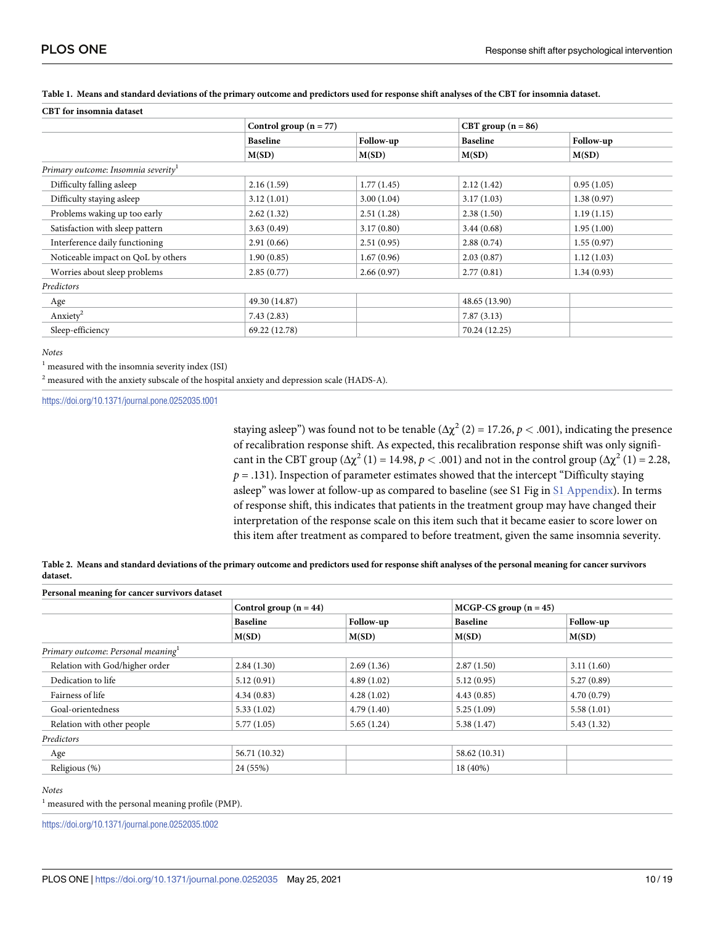| <b>CBT</b> for insomnia dataset                 |                          |            |                      |            |  |  |
|-------------------------------------------------|--------------------------|------------|----------------------|------------|--|--|
|                                                 | Control group $(n = 77)$ |            | CBT group $(n = 86)$ |            |  |  |
|                                                 | <b>Baseline</b>          | Follow-up  | <b>Baseline</b>      | Follow-up  |  |  |
|                                                 | M(SD)                    | M(SD)      | M(SD)                | M(SD)      |  |  |
| Primary outcome: Insomnia severity <sup>1</sup> |                          |            |                      |            |  |  |
| Difficulty falling asleep                       | 2.16(1.59)               | 1.77(1.45) | 2.12(1.42)           | 0.95(1.05) |  |  |
| Difficulty staying asleep                       | 3.12(1.01)               | 3.00(1.04) | 3.17(1.03)           | 1.38(0.97) |  |  |
| Problems waking up too early                    | 2.62(1.32)               | 2.51(1.28) | 2.38(1.50)           | 1.19(1.15) |  |  |
| Satisfaction with sleep pattern                 | 3.63(0.49)               | 3.17(0.80) | 3.44(0.68)           | 1.95(1.00) |  |  |
| Interference daily functioning                  | 2.91(0.66)               | 2.51(0.95) | 2.88(0.74)           | 1.55(0.97) |  |  |
| Noticeable impact on QoL by others              | 1.90(0.85)               | 1.67(0.96) | 2.03(0.87)           | 1.12(1.03) |  |  |
| Worries about sleep problems                    | 2.85(0.77)               | 2.66(0.97) | 2.77(0.81)           | 1.34(0.93) |  |  |
| Predictors                                      |                          |            |                      |            |  |  |
| Age                                             | 49.30 (14.87)            |            | 48.65 (13.90)        |            |  |  |
| Anxiety <sup>2</sup>                            | 7.43(2.83)               |            | 7.87(3.13)           |            |  |  |
| Sleep-efficiency                                | 69.22 (12.78)            |            | 70.24 (12.25)        |            |  |  |

#### <span id="page-10-0"></span>[Table](#page-9-0) 1. Means and standard deviations of the primary outcome and predictors used for response shift analyses of the CBT for insomnia dataset.

*Notes*

 $^{\rm 1}$  measured with the insomnia severity index (ISI)

 $^{\rm 2}$  measured with the anxiety subscale of the hospital anxiety and depression scale (HADS-A).

<https://doi.org/10.1371/journal.pone.0252035.t001>

staying asleep") was found not to be tenable ( $\Delta \chi^2$  (2) = 17.26, *p* < .001), indicating the presence of recalibration response shift. As expected, this recalibration response shift was only significant in the CBT group ( $\Delta \chi^2$  (1) = 14.98,  $p < .001$ ) and not in the control group ( $\Delta \chi^2$  (1) = 2.28,  $p = .131$ ). Inspection of parameter estimates showed that the intercept "Difficulty staying asleep" was lower at follow-up as compared to baseline (see S1 Fig in S1 [Appendix](#page-16-0)). In terms of response shift, this indicates that patients in the treatment group may have changed their interpretation of the response scale on this item such that it became easier to score lower on this item after treatment as compared to before treatment, given the same insomnia severity.

| Table 2. Means and standard deviations of the primary outcome and predictors used for response shift analyses of the personal meaning for cancer survivors |  |
|------------------------------------------------------------------------------------------------------------------------------------------------------------|--|
| dataset.                                                                                                                                                   |  |

|                                   | Control group $(n = 44)$ |            | $MCGP-CS group (n = 45)$ |            |
|-----------------------------------|--------------------------|------------|--------------------------|------------|
|                                   | <b>Baseline</b>          | Follow-up  | <b>Baseline</b>          | Follow-up  |
|                                   | M(SD)                    | M(SD)      | M(SD)                    | M(SD)      |
| Primary outcome: Personal meaning |                          |            |                          |            |
| Relation with God/higher order    | 2.84(1.30)               | 2.69(1.36) | 2.87(1.50)               | 3.11(1.60) |
| Dedication to life                | 5.12(0.91)               | 4.89(1.02) | 5.12(0.95)               | 5.27(0.89) |
| Fairness of life                  | 4.34(0.83)               | 4.28(1.02) | 4.43(0.85)               | 4.70(0.79) |
| Goal-orientedness                 | 5.33(1.02)               | 4.79(1.40) | 5.25(1.09)               | 5.58(1.01) |
| Relation with other people        | 5.77(1.05)               | 5.65(1.24) | 5.38(1.47)               | 5.43(1.32) |
| Predictors                        |                          |            |                          |            |
| Age                               | 56.71 (10.32)            |            | 58.62 (10.31)            |            |
| Religious (%)                     | 24 (55%)                 |            | 18 (40%)                 |            |

*Notes*

<sup>1</sup> measured with the personal meaning profile (PMP).

<https://doi.org/10.1371/journal.pone.0252035.t002>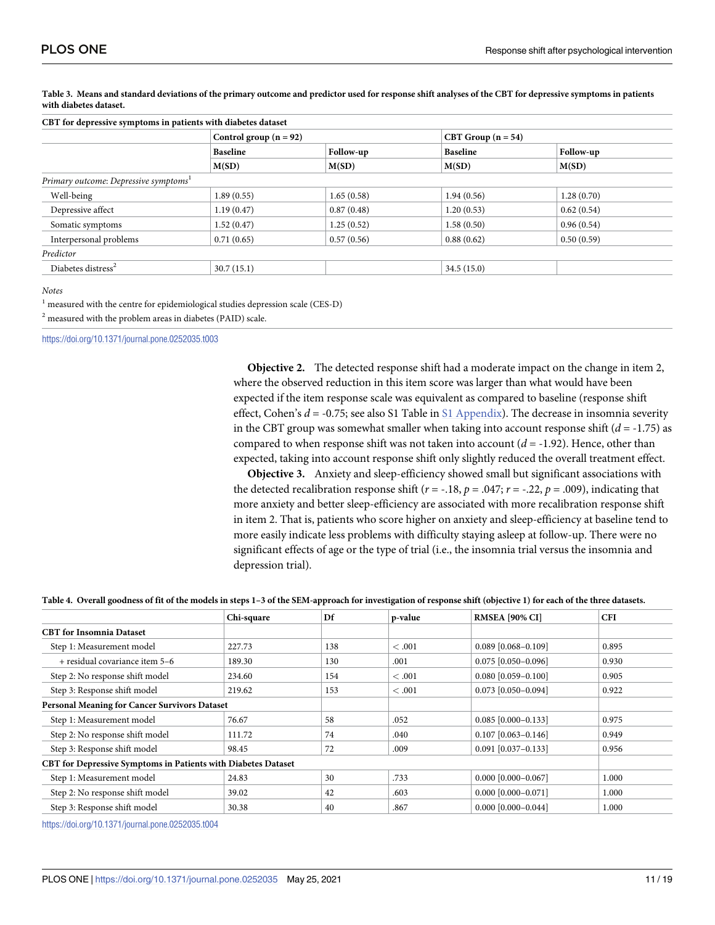| CBT for depressive symptoms in patients with diabetes dataset |                 |                          |                 |                      |  |  |
|---------------------------------------------------------------|-----------------|--------------------------|-----------------|----------------------|--|--|
|                                                               |                 | Control group $(n = 92)$ |                 | CBT Group $(n = 54)$ |  |  |
|                                                               | <b>Baseline</b> | Follow-up<br>M(SD)       | <b>Baseline</b> | Follow-up            |  |  |
|                                                               | M(SD)           |                          | M(SD)           | M(SD)                |  |  |
| Primary outcome: Depressive symptoms <sup>1</sup>             |                 |                          |                 |                      |  |  |
| Well-being                                                    | 1.89(0.55)      | 1.65(0.58)               | 1.94(0.56)      | 1.28(0.70)           |  |  |
| Depressive affect                                             | 1.19(0.47)      | 0.87(0.48)               | 1.20(0.53)      | 0.62(0.54)           |  |  |
| Somatic symptoms                                              | 1.52(0.47)      | 1.25(0.52)               | 1.58(0.50)      | 0.96(0.54)           |  |  |
| Interpersonal problems                                        | 0.71(0.65)      | 0.57(0.56)               | 0.88(0.62)      | 0.50(0.59)           |  |  |
| Predictor                                                     |                 |                          |                 |                      |  |  |
| Diabetes distress <sup>2</sup>                                | 30.7(15.1)      |                          | 34.5(15.0)      |                      |  |  |
|                                                               |                 |                          |                 |                      |  |  |

<span id="page-11-0"></span>[Table](#page-9-0) 3. Means and standard deviations of the primary outcome and predictor used for response shift analyses of the CBT for depressive symptoms in patients **with diabetes dataset.**

*Notes*

 $1$  measured with the centre for epidemiological studies depression scale (CES-D)

<sup>2</sup> measured with the problem areas in diabetes (PAID) scale.

<https://doi.org/10.1371/journal.pone.0252035.t003>

**Objective 2.** The detected response shift had a moderate impact on the change in item 2, where the observed reduction in this item score was larger than what would have been expected if the item response scale was equivalent as compared to baseline (response shift effect, Cohen's *d* = -0.75; see also S1 Table in S1 [Appendix\)](#page-16-0). The decrease in insomnia severity in the CBT group was somewhat smaller when taking into account response shift (*d* = -1.75) as compared to when response shift was not taken into account  $(d = -1.92)$ . Hence, other than expected, taking into account response shift only slightly reduced the overall treatment effect.

**Objective 3.** Anxiety and sleep-efficiency showed small but significant associations with the detected recalibration response shift ( $r = -1.18$ ,  $p = .047$ ;  $r = -0.22$ ,  $p = .009$ ), indicating that more anxiety and better sleep-efficiency are associated with more recalibration response shift in item 2. That is, patients who score higher on anxiety and sleep-efficiency at baseline tend to more easily indicate less problems with difficulty staying asleep at follow-up. There were no significant effects of age or the type of trial (i.e., the insomnia trial versus the insomnia and depression trial).

#### [Table](#page-9-0) 4. Overall goodness of fit of the models in steps 1-3 of the SEM-approach for investigation of response shift (objective 1) for each of the three datasets.

|                                                               | Chi-square | Df  | p-value | <b>RMSEA [90% CI]</b>     | <b>CFI</b> |
|---------------------------------------------------------------|------------|-----|---------|---------------------------|------------|
| <b>CBT</b> for Insomnia Dataset                               |            |     |         |                           |            |
| Step 1: Measurement model                                     | 227.73     | 138 | < 0.001 | $0.089$ [0.068-0.109]     | 0.895      |
| + residual covariance item 5-6                                | 189.30     | 130 | .001    | $0.075$ [0.050-0.096]     | 0.930      |
| Step 2: No response shift model                               | 234.60     | 154 | < 0.001 | $0.080$ [0.059-0.100]     | 0.905      |
| Step 3: Response shift model                                  | 219.62     | 153 | < 0.01  | $0.073$ [0.050-0.094]     | 0.922      |
| <b>Personal Meaning for Cancer Survivors Dataset</b>          |            |     |         |                           |            |
| Step 1: Measurement model                                     | 76.67      | 58  | .052    | $0.085$ [0.000-0.133]     | 0.975      |
| Step 2: No response shift model                               | 111.72     | 74  | .040    | $0.107$ [0.063-0.146]     | 0.949      |
| Step 3: Response shift model                                  | 98.45      | 72  | .009    | $0.091$ [0.037-0.133]     | 0.956      |
| CBT for Depressive Symptoms in Patients with Diabetes Dataset |            |     |         |                           |            |
| Step 1: Measurement model                                     | 24.83      | 30  | .733    | $0.000$ [0.000-0.067]     | 1.000      |
| Step 2: No response shift model                               | 39.02      | 42  | .603    | $0.000$ [0.000-0.071]     | 1.000      |
| Step 3: Response shift model                                  | 30.38      | 40  | .867    | $0.000$ $[0.000 - 0.044]$ | 1.000      |

<https://doi.org/10.1371/journal.pone.0252035.t004>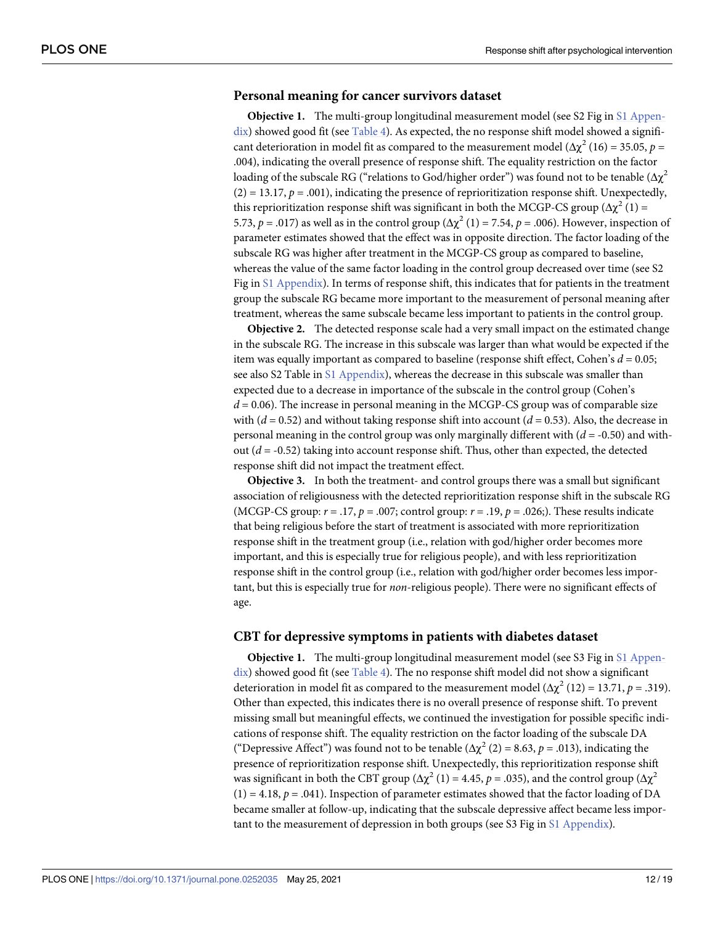#### **Personal meaning for cancer survivors dataset**

**Objective 1.** The multi-group longitudinal measurement model (see S2 Fig in S1 [Appen](#page-16-0)[dix\)](#page-16-0) showed good fit (see [Table](#page-11-0) 4). As expected, the no response shift model showed a significant deterioration in model fit as compared to the measurement model ( $\Delta \chi^2$  (16) = 35.05, *p* = .004), indicating the overall presence of response shift. The equality restriction on the factor loading of the subscale RG ("relations to God/higher order") was found not to be tenable  $(\Delta \chi^2)$  $(2) = 13.17$ ,  $p = .001$ ), indicating the presence of reprioritization response shift. Unexpectedly, this reprioritization response shift was significant in both the MCGP-CS group ( $\Delta \chi^2$  (1) = 5.73,  $p = .017$ ) as well as in the control group ( $\Delta \chi^2(1) = 7.54$ ,  $p = .006$ ). However, inspection of parameter estimates showed that the effect was in opposite direction. The factor loading of the subscale RG was higher after treatment in the MCGP-CS group as compared to baseline, whereas the value of the same factor loading in the control group decreased over time (see S2 Fig in S1 [Appendix](#page-16-0)). In terms of response shift, this indicates that for patients in the treatment group the subscale RG became more important to the measurement of personal meaning after treatment, whereas the same subscale became less important to patients in the control group.

**Objective 2.** The detected response scale had a very small impact on the estimated change in the subscale RG. The increase in this subscale was larger than what would be expected if the item was equally important as compared to baseline (response shift effect, Cohen's *d* = 0.05; see also S2 Table in S1 [Appendix\)](#page-16-0), whereas the decrease in this subscale was smaller than expected due to a decrease in importance of the subscale in the control group (Cohen's *d* = 0.06). The increase in personal meaning in the MCGP-CS group was of comparable size with  $(d = 0.52)$  and without taking response shift into account  $(d = 0.53)$ . Also, the decrease in personal meaning in the control group was only marginally different with (*d* = -0.50) and without  $(d = -0.52)$  taking into account response shift. Thus, other than expected, the detected response shift did not impact the treatment effect.

**Objective 3.** In both the treatment- and control groups there was a small but significant association of religiousness with the detected reprioritization response shift in the subscale RG (MCGP-CS group: *r* = .17, *p* = .007; control group: *r* = .19, *p* = .026;). These results indicate that being religious before the start of treatment is associated with more reprioritization response shift in the treatment group (i.e., relation with god/higher order becomes more important, and this is especially true for religious people), and with less reprioritization response shift in the control group (i.e., relation with god/higher order becomes less important, but this is especially true for *non*-religious people). There were no significant effects of age.

#### **CBT for depressive symptoms in patients with diabetes dataset**

**Objective 1.** The multi-group longitudinal measurement model (see S3 Fig in S1 [Appen](#page-16-0)[dix\)](#page-16-0) showed good fit (see [Table](#page-11-0) 4). The no response shift model did not show a significant deterioration in model fit as compared to the measurement model ( $\Delta \chi^2$  (12) = 13.71, *p* = .319). Other than expected, this indicates there is no overall presence of response shift. To prevent missing small but meaningful effects, we continued the investigation for possible specific indications of response shift. The equality restriction on the factor loading of the subscale DA ("Depressive Affect") was found not to be tenable  $(\Delta \chi^2 (2) = 8.63, p = .013)$ , indicating the presence of reprioritization response shift. Unexpectedly, this reprioritization response shift was significant in both the CBT group ( $\Delta \chi^2$  (1) = 4.45, *p* = .035), and the control group ( $\Delta \chi^2$  $(1) = 4.18$ ,  $p = .041$ ). Inspection of parameter estimates showed that the factor loading of DA became smaller at follow-up, indicating that the subscale depressive affect became less important to the measurement of depression in both groups (see S3 Fig in S1 [Appendix\)](#page-16-0).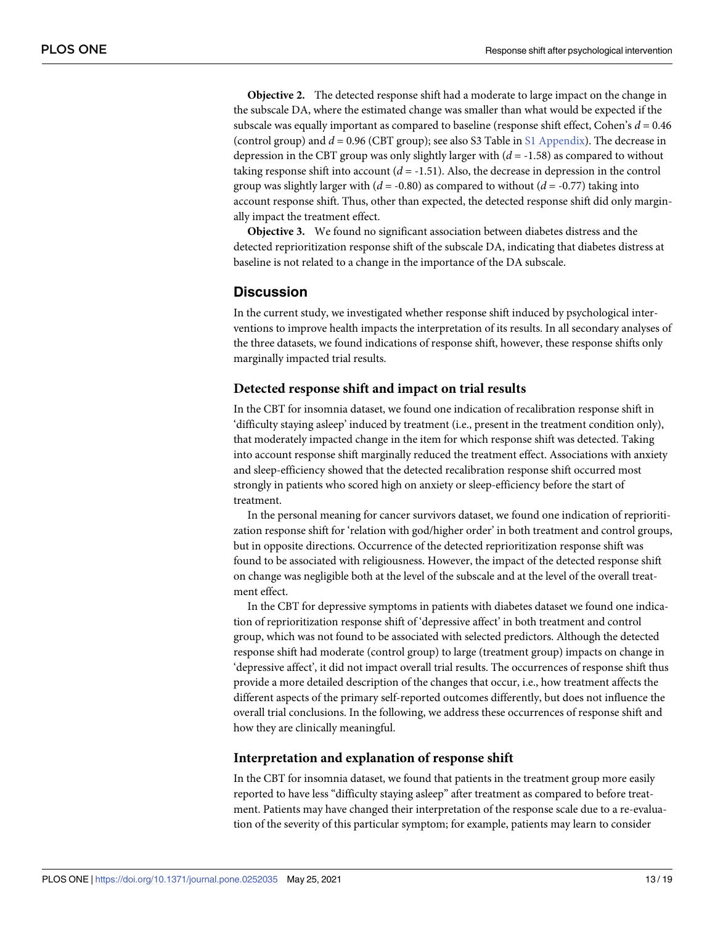**Objective 2.** The detected response shift had a moderate to large impact on the change in the subscale DA, where the estimated change was smaller than what would be expected if the subscale was equally important as compared to baseline (response shift effect, Cohen's  $d = 0.46$ ) (control group) and *d* = 0.96 (CBT group); see also S3 Table in S1 [Appendix\)](#page-16-0). The decrease in depression in the CBT group was only slightly larger with (*d* = -1.58) as compared to without taking response shift into account  $(d = -1.51)$ . Also, the decrease in depression in the control group was slightly larger with  $(d = -0.80)$  as compared to without  $(d = -0.77)$  taking into account response shift. Thus, other than expected, the detected response shift did only marginally impact the treatment effect.

**Objective 3.** We found no significant association between diabetes distress and the detected reprioritization response shift of the subscale DA, indicating that diabetes distress at baseline is not related to a change in the importance of the DA subscale.

## **Discussion**

In the current study, we investigated whether response shift induced by psychological interventions to improve health impacts the interpretation of its results. In all secondary analyses of the three datasets, we found indications of response shift, however, these response shifts only marginally impacted trial results.

#### **Detected response shift and impact on trial results**

In the CBT for insomnia dataset, we found one indication of recalibration response shift in 'difficulty staying asleep' induced by treatment (i.e., present in the treatment condition only), that moderately impacted change in the item for which response shift was detected. Taking into account response shift marginally reduced the treatment effect. Associations with anxiety and sleep-efficiency showed that the detected recalibration response shift occurred most strongly in patients who scored high on anxiety or sleep-efficiency before the start of treatment.

In the personal meaning for cancer survivors dataset, we found one indication of reprioritization response shift for 'relation with god/higher order' in both treatment and control groups, but in opposite directions. Occurrence of the detected reprioritization response shift was found to be associated with religiousness. However, the impact of the detected response shift on change was negligible both at the level of the subscale and at the level of the overall treatment effect.

In the CBT for depressive symptoms in patients with diabetes dataset we found one indication of reprioritization response shift of 'depressive affect' in both treatment and control group, which was not found to be associated with selected predictors. Although the detected response shift had moderate (control group) to large (treatment group) impacts on change in 'depressive affect', it did not impact overall trial results. The occurrences of response shift thus provide a more detailed description of the changes that occur, i.e., how treatment affects the different aspects of the primary self-reported outcomes differently, but does not influence the overall trial conclusions. In the following, we address these occurrences of response shift and how they are clinically meaningful.

#### **Interpretation and explanation of response shift**

In the CBT for insomnia dataset, we found that patients in the treatment group more easily reported to have less "difficulty staying asleep" after treatment as compared to before treatment. Patients may have changed their interpretation of the response scale due to a re-evaluation of the severity of this particular symptom; for example, patients may learn to consider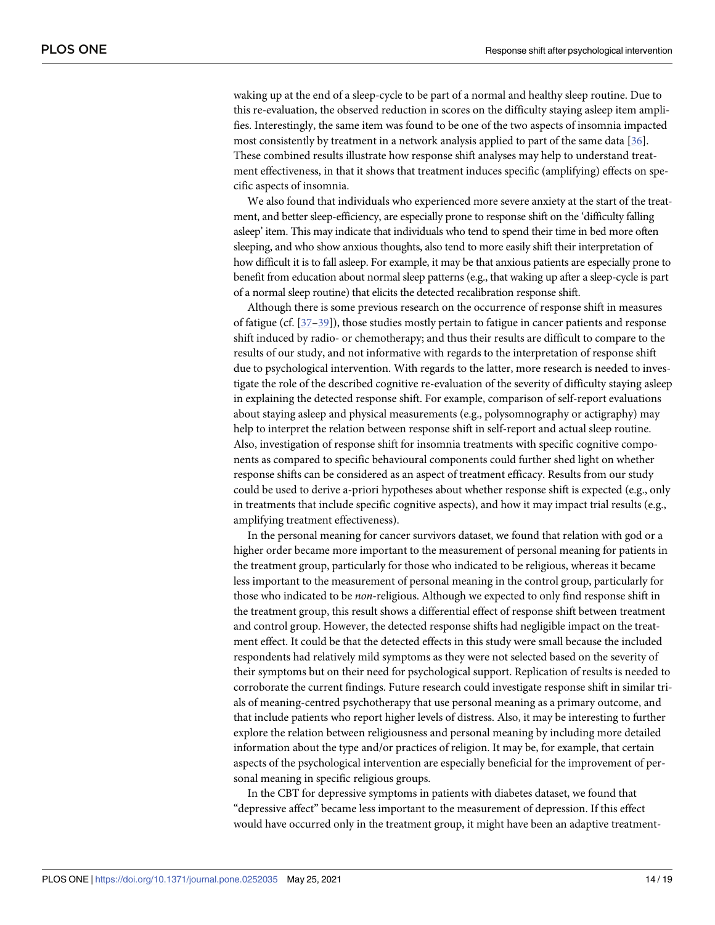<span id="page-14-0"></span>waking up at the end of a sleep-cycle to be part of a normal and healthy sleep routine. Due to this re-evaluation, the observed reduction in scores on the difficulty staying asleep item amplifies. Interestingly, the same item was found to be one of the two aspects of insomnia impacted most consistently by treatment in a network analysis applied to part of the same data [[36](#page-19-0)]. These combined results illustrate how response shift analyses may help to understand treatment effectiveness, in that it shows that treatment induces specific (amplifying) effects on specific aspects of insomnia.

We also found that individuals who experienced more severe anxiety at the start of the treatment, and better sleep-efficiency, are especially prone to response shift on the 'difficulty falling asleep' item. This may indicate that individuals who tend to spend their time in bed more often sleeping, and who show anxious thoughts, also tend to more easily shift their interpretation of how difficult it is to fall asleep. For example, it may be that anxious patients are especially prone to benefit from education about normal sleep patterns (e.g., that waking up after a sleep-cycle is part of a normal sleep routine) that elicits the detected recalibration response shift.

Although there is some previous research on the occurrence of response shift in measures of fatigue (cf. [[37–39\]](#page-19-0)), those studies mostly pertain to fatigue in cancer patients and response shift induced by radio- or chemotherapy; and thus their results are difficult to compare to the results of our study, and not informative with regards to the interpretation of response shift due to psychological intervention. With regards to the latter, more research is needed to investigate the role of the described cognitive re-evaluation of the severity of difficulty staying asleep in explaining the detected response shift. For example, comparison of self-report evaluations about staying asleep and physical measurements (e.g., polysomnography or actigraphy) may help to interpret the relation between response shift in self-report and actual sleep routine. Also, investigation of response shift for insomnia treatments with specific cognitive components as compared to specific behavioural components could further shed light on whether response shifts can be considered as an aspect of treatment efficacy. Results from our study could be used to derive a-priori hypotheses about whether response shift is expected (e.g., only in treatments that include specific cognitive aspects), and how it may impact trial results (e.g., amplifying treatment effectiveness).

In the personal meaning for cancer survivors dataset, we found that relation with god or a higher order became more important to the measurement of personal meaning for patients in the treatment group, particularly for those who indicated to be religious, whereas it became less important to the measurement of personal meaning in the control group, particularly for those who indicated to be *non*-religious. Although we expected to only find response shift in the treatment group, this result shows a differential effect of response shift between treatment and control group. However, the detected response shifts had negligible impact on the treatment effect. It could be that the detected effects in this study were small because the included respondents had relatively mild symptoms as they were not selected based on the severity of their symptoms but on their need for psychological support. Replication of results is needed to corroborate the current findings. Future research could investigate response shift in similar trials of meaning-centred psychotherapy that use personal meaning as a primary outcome, and that include patients who report higher levels of distress. Also, it may be interesting to further explore the relation between religiousness and personal meaning by including more detailed information about the type and/or practices of religion. It may be, for example, that certain aspects of the psychological intervention are especially beneficial for the improvement of personal meaning in specific religious groups.

In the CBT for depressive symptoms in patients with diabetes dataset, we found that "depressive affect" became less important to the measurement of depression. If this effect would have occurred only in the treatment group, it might have been an adaptive treatment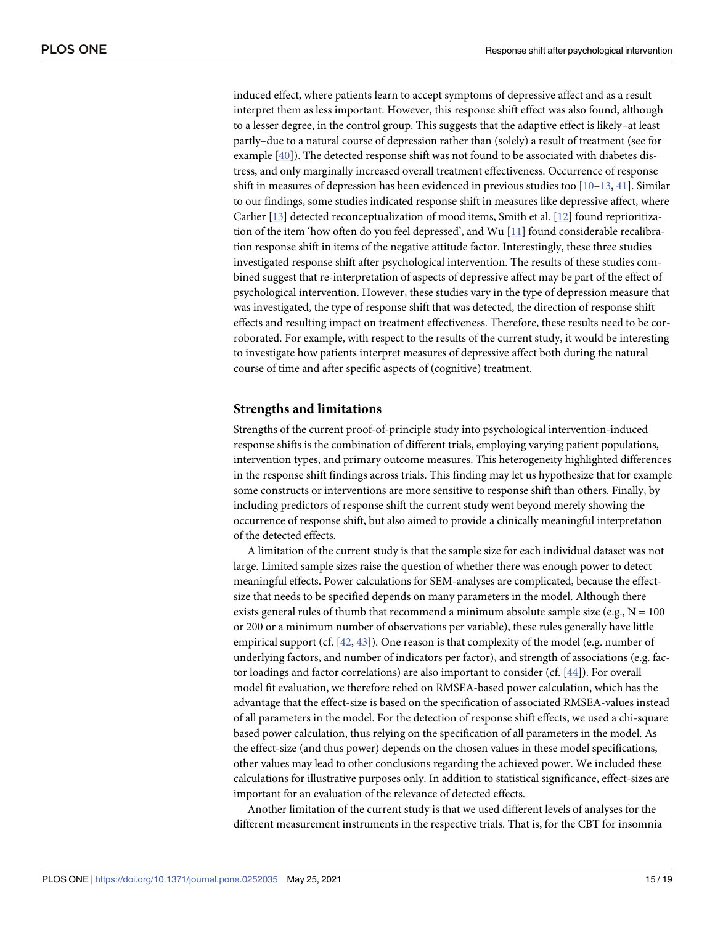<span id="page-15-0"></span>induced effect, where patients learn to accept symptoms of depressive affect and as a result interpret them as less important. However, this response shift effect was also found, although to a lesser degree, in the control group. This suggests that the adaptive effect is likely–at least partly–due to a natural course of depression rather than (solely) a result of treatment (see for example [[40](#page-19-0)]). The detected response shift was not found to be associated with diabetes distress, and only marginally increased overall treatment effectiveness. Occurrence of response shift in measures of depression has been evidenced in previous studies too [\[10–13,](#page-17-0) [41](#page-19-0)]. Similar to our findings, some studies indicated response shift in measures like depressive affect, where Carlier [\[13\]](#page-17-0) detected reconceptualization of mood items, Smith et al. [\[12\]](#page-17-0) found reprioritization of the item 'how often do you feel depressed', and Wu [\[11\]](#page-17-0) found considerable recalibration response shift in items of the negative attitude factor. Interestingly, these three studies investigated response shift after psychological intervention. The results of these studies combined suggest that re-interpretation of aspects of depressive affect may be part of the effect of psychological intervention. However, these studies vary in the type of depression measure that was investigated, the type of response shift that was detected, the direction of response shift effects and resulting impact on treatment effectiveness. Therefore, these results need to be corroborated. For example, with respect to the results of the current study, it would be interesting to investigate how patients interpret measures of depressive affect both during the natural course of time and after specific aspects of (cognitive) treatment.

#### **Strengths and limitations**

Strengths of the current proof-of-principle study into psychological intervention-induced response shifts is the combination of different trials, employing varying patient populations, intervention types, and primary outcome measures. This heterogeneity highlighted differences in the response shift findings across trials. This finding may let us hypothesize that for example some constructs or interventions are more sensitive to response shift than others. Finally, by including predictors of response shift the current study went beyond merely showing the occurrence of response shift, but also aimed to provide a clinically meaningful interpretation of the detected effects.

A limitation of the current study is that the sample size for each individual dataset was not large. Limited sample sizes raise the question of whether there was enough power to detect meaningful effects. Power calculations for SEM-analyses are complicated, because the effectsize that needs to be specified depends on many parameters in the model. Although there exists general rules of thumb that recommend a minimum absolute sample size (e.g.,  $N = 100$ ) or 200 or a minimum number of observations per variable), these rules generally have little empirical support (cf.  $[42, 43]$  $[42, 43]$  $[42, 43]$ ). One reason is that complexity of the model (e.g. number of underlying factors, and number of indicators per factor), and strength of associations (e.g. factor loadings and factor correlations) are also important to consider (cf. [[44](#page-19-0)]). For overall model fit evaluation, we therefore relied on RMSEA-based power calculation, which has the advantage that the effect-size is based on the specification of associated RMSEA-values instead of all parameters in the model. For the detection of response shift effects, we used a chi-square based power calculation, thus relying on the specification of all parameters in the model. As the effect-size (and thus power) depends on the chosen values in these model specifications, other values may lead to other conclusions regarding the achieved power. We included these calculations for illustrative purposes only. In addition to statistical significance, effect-sizes are important for an evaluation of the relevance of detected effects.

Another limitation of the current study is that we used different levels of analyses for the different measurement instruments in the respective trials. That is, for the CBT for insomnia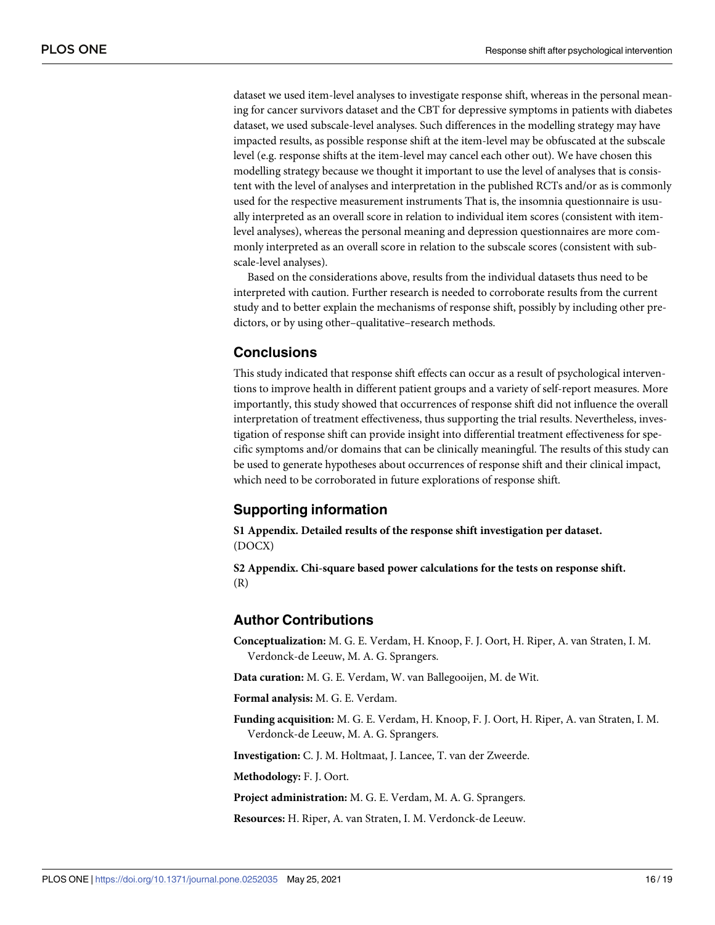<span id="page-16-0"></span>dataset we used item-level analyses to investigate response shift, whereas in the personal meaning for cancer survivors dataset and the CBT for depressive symptoms in patients with diabetes dataset, we used subscale-level analyses. Such differences in the modelling strategy may have impacted results, as possible response shift at the item-level may be obfuscated at the subscale level (e.g. response shifts at the item-level may cancel each other out). We have chosen this modelling strategy because we thought it important to use the level of analyses that is consistent with the level of analyses and interpretation in the published RCTs and/or as is commonly used for the respective measurement instruments That is, the insomnia questionnaire is usually interpreted as an overall score in relation to individual item scores (consistent with itemlevel analyses), whereas the personal meaning and depression questionnaires are more commonly interpreted as an overall score in relation to the subscale scores (consistent with subscale-level analyses).

Based on the considerations above, results from the individual datasets thus need to be interpreted with caution. Further research is needed to corroborate results from the current study and to better explain the mechanisms of response shift, possibly by including other predictors, or by using other–qualitative–research methods.

# **Conclusions**

This study indicated that response shift effects can occur as a result of psychological interventions to improve health in different patient groups and a variety of self-report measures. More importantly, this study showed that occurrences of response shift did not influence the overall interpretation of treatment effectiveness, thus supporting the trial results. Nevertheless, investigation of response shift can provide insight into differential treatment effectiveness for specific symptoms and/or domains that can be clinically meaningful. The results of this study can be used to generate hypotheses about occurrences of response shift and their clinical impact, which need to be corroborated in future explorations of response shift.

# **Supporting information**

**S1 [Appendix](http://www.plosone.org/article/fetchSingleRepresentation.action?uri=info:doi/10.1371/journal.pone.0252035.s001). Detailed results of the response shift investigation per dataset.** (DOCX)

**S2 [Appendix](http://www.plosone.org/article/fetchSingleRepresentation.action?uri=info:doi/10.1371/journal.pone.0252035.s002). Chi-square based power calculations for the tests on response shift.** (R)

#### **Author Contributions**

**Conceptualization:** M. G. E. Verdam, H. Knoop, F. J. Oort, H. Riper, A. van Straten, I. M. Verdonck-de Leeuw, M. A. G. Sprangers.

**Data curation:** M. G. E. Verdam, W. van Ballegooijen, M. de Wit.

**Formal analysis:** M. G. E. Verdam.

**Funding acquisition:** M. G. E. Verdam, H. Knoop, F. J. Oort, H. Riper, A. van Straten, I. M. Verdonck-de Leeuw, M. A. G. Sprangers.

**Investigation:** C. J. M. Holtmaat, J. Lancee, T. van der Zweerde.

**Methodology:** F. J. Oort.

**Project administration:** M. G. E. Verdam, M. A. G. Sprangers.

**Resources:** H. Riper, A. van Straten, I. M. Verdonck-de Leeuw.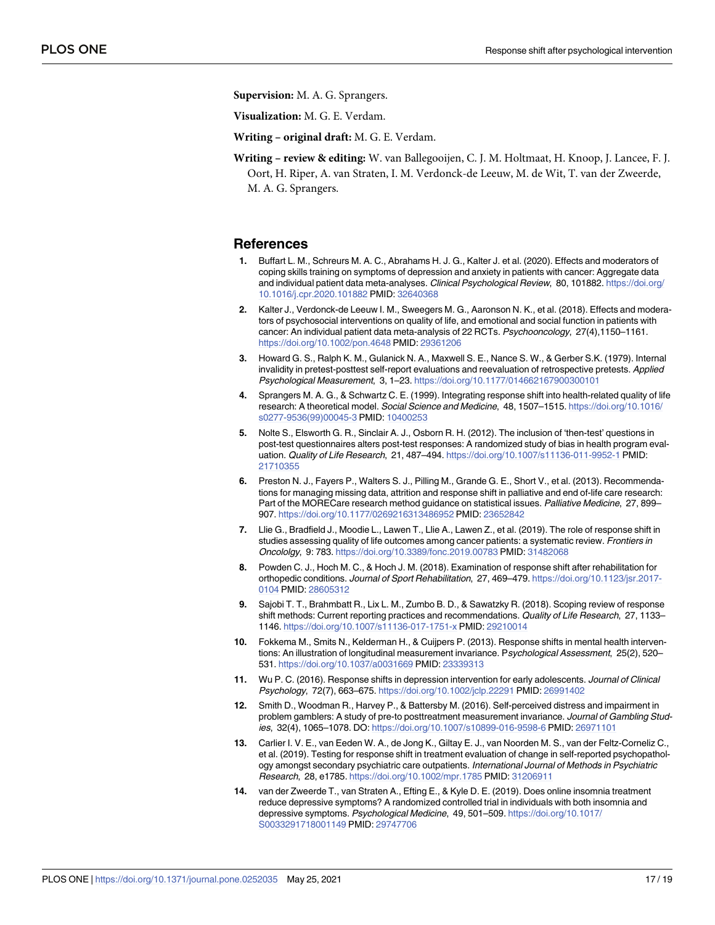<span id="page-17-0"></span>**Supervision:** M. A. G. Sprangers.

**Visualization:** M. G. E. Verdam.

**Writing – original draft:** M. G. E. Verdam.

**Writing – review & editing:** W. van Ballegooijen, C. J. M. Holtmaat, H. Knoop, J. Lancee, F. J. Oort, H. Riper, A. van Straten, I. M. Verdonck-de Leeuw, M. de Wit, T. van der Zweerde, M. A. G. Sprangers.

#### **References**

- **[1](#page-2-0).** Buffart L. M., Schreurs M. A. C., Abrahams H. J. G., Kalter J. et al. (2020). Effects and moderators of coping skills training on symptoms of depression and anxiety in patients with cancer: Aggregate data and individual patient data meta-analyses. Clinical Psychological Review, 80, 101882. [https://doi.org/](https://doi.org/10.1016/j.cpr.2020.101882) [10.1016/j.cpr.2020.101882](https://doi.org/10.1016/j.cpr.2020.101882) PMID: [32640368](http://www.ncbi.nlm.nih.gov/pubmed/32640368)
- **[2](#page-2-0).** Kalter J., Verdonck-de Leeuw I. M., Sweegers M. G., Aaronson N. K., et al. (2018). Effects and moderators of psychosocial interventions on quality of life, and emotional and social function in patients with cancer: An individual patient data meta-analysis of 22 RCTs. Psychooncology, 27(4),1150–1161. <https://doi.org/10.1002/pon.4648> PMID: [29361206](http://www.ncbi.nlm.nih.gov/pubmed/29361206)
- **[3](#page-2-0).** Howard G. S., Ralph K. M., Gulanick N. A., Maxwell S. E., Nance S. W., & Gerber S.K. (1979). Internal invalidity in pretest-posttest self-report evaluations and reevaluation of retrospective pretests. Applied Psychological Measurement, 3, 1–23. <https://doi.org/10.1177/014662167900300101>
- **[4](#page-2-0).** Sprangers M. A. G., & Schwartz C. E. (1999). Integrating response shift into health-related quality of life research: A theoretical model. Social Science and Medicine, 48, 1507–1515. [https://doi.org/10.1016/](https://doi.org/10.1016/s0277-9536%2899%2900045-3) [s0277-9536\(99\)00045-3](https://doi.org/10.1016/s0277-9536%2899%2900045-3) PMID: [10400253](http://www.ncbi.nlm.nih.gov/pubmed/10400253)
- **[5](#page-3-0).** Nolte S., Elsworth G. R., Sinclair A. J., Osborn R. H. (2012). The inclusion of 'then-test' questions in post-test questionnaires alters post-test responses: A randomized study of bias in health program evaluation. Quality of Life Research, 21, 487–494. <https://doi.org/10.1007/s11136-011-9952-1> PMID: [21710355](http://www.ncbi.nlm.nih.gov/pubmed/21710355)
- **[6](#page-3-0).** Preston N. J., Fayers P., Walters S. J., Pilling M., Grande G. E., Short V., et al. (2013). Recommendations for managing missing data, attrition and response shift in palliative and end of-life care research: Part of the MORECare research method guidance on statistical issues. Palliative Medicine, 27, 899– 907. <https://doi.org/10.1177/0269216313486952> PMID: [23652842](http://www.ncbi.nlm.nih.gov/pubmed/23652842)
- **[7](#page-3-0).** Llie G., Bradfield J., Moodie L., Lawen T., Llie A., Lawen Z., et al. (2019). The role of response shift in studies assessing quality of life outcomes among cancer patients: a systematic review. Frontiers in Oncololgy, 9: 783. <https://doi.org/10.3389/fonc.2019.00783> PMID: [31482068](http://www.ncbi.nlm.nih.gov/pubmed/31482068)
- **8.** Powden C. J., Hoch M. C., & Hoch J. M. (2018). Examination of response shift after rehabilitation for orthopedic conditions. Journal of Sport Rehabilitation, 27, 469–479. [https://doi.org/10.1123/jsr.2017-](https://doi.org/10.1123/jsr.2017-0104) [0104](https://doi.org/10.1123/jsr.2017-0104) PMID: [28605312](http://www.ncbi.nlm.nih.gov/pubmed/28605312)
- **[9](#page-3-0).** Sajobi T. T., Brahmbatt R., Lix L. M., Zumbo B. D., & Sawatzky R. (2018). Scoping review of response shift methods: Current reporting practices and recommendations. Quality of Life Research, 27, 1133-1146. <https://doi.org/10.1007/s11136-017-1751-x> PMID: [29210014](http://www.ncbi.nlm.nih.gov/pubmed/29210014)
- **[10](#page-3-0).** Fokkema M., Smits N., Kelderman H., & Cuijpers P. (2013). Response shifts in mental health interventions: An illustration of longitudinal measurement invariance. Psychological Assessment, 25(2), 520-531. <https://doi.org/10.1037/a0031669> PMID: [23339313](http://www.ncbi.nlm.nih.gov/pubmed/23339313)
- **[11](#page-3-0).** Wu P. C. (2016). Response shifts in depression intervention for early adolescents. Journal of Clinical Psychology, 72(7), 663–675. <https://doi.org/10.1002/jclp.22291> PMID: [26991402](http://www.ncbi.nlm.nih.gov/pubmed/26991402)
- **[12](#page-3-0).** Smith D., Woodman R., Harvey P., & Battersby M. (2016). Self-perceived distress and impairment in problem gamblers: A study of pre-to posttreatment measurement invariance. Journal of Gambling Studies, 32(4), 1065–1078. DO: <https://doi.org/10.1007/s10899-016-9598-6> PMID: [26971101](http://www.ncbi.nlm.nih.gov/pubmed/26971101)
- **[13](#page-3-0).** Carlier I. V. E., van Eeden W. A., de Jong K., Giltay E. J., van Noorden M. S., van der Feltz-Corneliz C., et al. (2019). Testing for response shift in treatment evaluation of change in self-reported psychopathology amongst secondary psychiatric care outpatients. International Journal of Methods in Psychiatric Research, 28, e1785. <https://doi.org/10.1002/mpr.1785> PMID: [31206911](http://www.ncbi.nlm.nih.gov/pubmed/31206911)
- **[14](#page-3-0).** van der Zweerde T., van Straten A., Efting E., & Kyle D. E. (2019). Does online insomnia treatment reduce depressive symptoms? A randomized controlled trial in individuals with both insomnia and depressive symptoms. Psychological Medicine, 49, 501–509. [https://doi.org/10.1017/](https://doi.org/10.1017/S0033291718001149) [S0033291718001149](https://doi.org/10.1017/S0033291718001149) PMID: [29747706](http://www.ncbi.nlm.nih.gov/pubmed/29747706)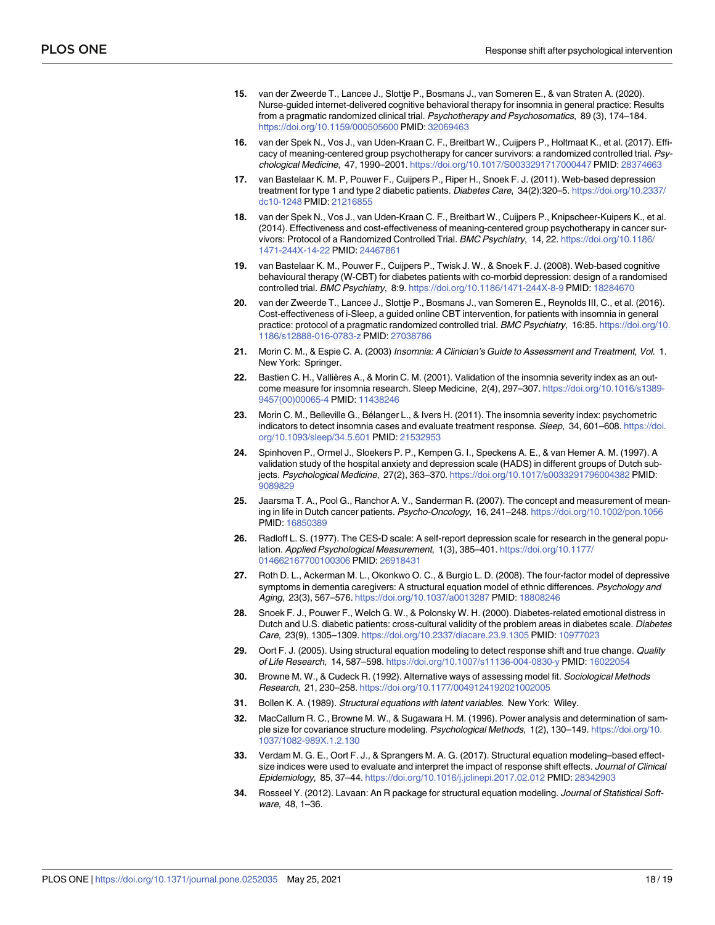- <span id="page-18-0"></span>**[15](#page-3-0).** van der Zweerde T., Lancee J., Slottje P., Bosmans J., van Someren E., & van Straten A. (2020). Nurse-guided internet-delivered cognitive behavioral therapy for insomnia in general practice: Results from a pragmatic randomized clinical trial. Psychotherapy and Psychosomatics, 89 (3), 174–184. <https://doi.org/10.1159/000505600> PMID: [32069463](http://www.ncbi.nlm.nih.gov/pubmed/32069463)
- **[16](#page-3-0).** van der Spek N., Vos J., van Uden-Kraan C. F., Breitbart W., Cuijpers P., Holtmaat K., et al. (2017). Efficacy of meaning-centered group psychotherapy for cancer survivors: a randomized controlled trial. Psychological Medicine, 47, 1990–2001. <https://doi.org/10.1017/S0033291717000447> PMID: [28374663](http://www.ncbi.nlm.nih.gov/pubmed/28374663)
- **[17](#page-4-0).** van Bastelaar K. M. P, Pouwer F., Cuijpers P., Riper H., Snoek F. J. (2011). Web-based depression treatment for type 1 and type 2 diabetic patients. Diabetes Care, 34(2):320–5. [https://doi.org/10.2337/](https://doi.org/10.2337/dc10-1248) [dc10-1248](https://doi.org/10.2337/dc10-1248) PMID: [21216855](http://www.ncbi.nlm.nih.gov/pubmed/21216855)
- **[18](#page-4-0).** van der Spek N., Vos J., van Uden-Kraan C. F., Breitbart W., Cuijpers P., Knipscheer-Kuipers K., et al. (2014). Effectiveness and cost-effectiveness of meaning-centered group psychotherapy in cancer survivors: Protocol of a Randomized Controlled Trial. BMC Psychiatry, 14, 22. [https://doi.org/10.1186/](https://doi.org/10.1186/1471-244X-14-22) [1471-244X-14-22](https://doi.org/10.1186/1471-244X-14-22) PMID: [24467861](http://www.ncbi.nlm.nih.gov/pubmed/24467861)
- **19.** van Bastelaar K. M., Pouwer F., Cuijpers P., Twisk J. W., & Snoek F. J. (2008). Web-based cognitive behavioural therapy (W-CBT) for diabetes patients with co-morbid depression: design of a randomised controlled trial. BMC Psychiatry, 8:9. <https://doi.org/10.1186/1471-244X-8-9> PMID: [18284670](http://www.ncbi.nlm.nih.gov/pubmed/18284670)
- **[20](#page-4-0).** van der Zweerde T., Lancee J., Slottje P., Bosmans J., van Someren E., Reynolds III, C., et al. (2016). Cost-effectiveness of i-Sleep, a guided online CBT intervention, for patients with insomnia in general practice: protocol of a pragmatic randomized controlled trial. BMC Psychiatry, 16:85. [https://doi.org/10.](https://doi.org/10.1186/s12888-016-0783-z) [1186/s12888-016-0783-z](https://doi.org/10.1186/s12888-016-0783-z) PMID: [27038786](http://www.ncbi.nlm.nih.gov/pubmed/27038786)
- **[21](#page-5-0).** Morin C. M., & Espie C. A. (2003) Insomnia: A Clinician's Guide to Assessment and Treatment, Vol. 1. New York: Springer.
- **[22](#page-5-0).** Bastien C. H., Vallières A., & Morin C. M. (2001). Validation of the insomnia severity index as an outcome measure for insomnia research. Sleep Medicine, 2(4), 297–307. [https://doi.org/10.1016/s1389-](https://doi.org/10.1016/s1389-9457%2800%2900065-4) [9457\(00\)00065-4](https://doi.org/10.1016/s1389-9457%2800%2900065-4) PMID: [11438246](http://www.ncbi.nlm.nih.gov/pubmed/11438246)
- **[23](#page-5-0).** Morin C. M., Belleville G., Bélanger L., & Ivers H. (2011). The insomnia severity index: psychometric indicators to detect insomnia cases and evaluate treatment response. Sleep, 34, 601–608. [https://doi.](https://doi.org/10.1093/sleep/34.5.601) [org/10.1093/sleep/34.5.601](https://doi.org/10.1093/sleep/34.5.601) PMID: [21532953](http://www.ncbi.nlm.nih.gov/pubmed/21532953)
- **[24](#page-5-0).** Spinhoven P., Ormel J., Sloekers P. P., Kempen G. I., Speckens A. E., & van Hemer A. M. (1997). A validation study of the hospital anxiety and depression scale (HADS) in different groups of Dutch subjects. Psychological Medicine, 27(2), 363-370. <https://doi.org/10.1017/s0033291796004382> PMID: [9089829](http://www.ncbi.nlm.nih.gov/pubmed/9089829)
- **[25](#page-6-0).** Jaarsma T. A., Pool G., Ranchor A. V., Sanderman R. (2007). The concept and measurement of meaning in life in Dutch cancer patients. Psycho-Oncology, 16, 241–248. <https://doi.org/10.1002/pon.1056> PMID: [16850389](http://www.ncbi.nlm.nih.gov/pubmed/16850389)
- **[26](#page-6-0).** Radloff L. S. (1977). The CES-D scale: A self-report depression scale for research in the general population. Applied Psychological Measurement, 1(3), 385–401. [https://doi.org/10.1177/](https://doi.org/10.1177/014662167700100306) [014662167700100306](https://doi.org/10.1177/014662167700100306) PMID: [26918431](http://www.ncbi.nlm.nih.gov/pubmed/26918431)
- **[27](#page-6-0).** Roth D. L., Ackerman M. L., Okonkwo O. C., & Burgio L. D. (2008). The four-factor model of depressive symptoms in dementia caregivers: A structural equation model of ethnic differences. Psychology and Aging, 23(3), 567–576. <https://doi.org/10.1037/a0013287> PMID: [18808246](http://www.ncbi.nlm.nih.gov/pubmed/18808246)
- **[28](#page-7-0).** Snoek F. J., Pouwer F., Welch G. W., & Polonsky W. H. (2000). Diabetes-related emotional distress in Dutch and U.S. diabetic patients: cross-cultural validity of the problem areas in diabetes scale. Diabetes Care, 23(9), 1305–1309. <https://doi.org/10.2337/diacare.23.9.1305> PMID: [10977023](http://www.ncbi.nlm.nih.gov/pubmed/10977023)
- **[29](#page-7-0).** Oort F. J. (2005). Using structural equation modeling to detect response shift and true change. Quality of Life Research, 14, 587–598. <https://doi.org/10.1007/s11136-004-0830-y> PMID: [16022054](http://www.ncbi.nlm.nih.gov/pubmed/16022054)
- **[30](#page-7-0).** Browne M. W., & Cudeck R. (1992). Alternative ways of assessing model fit. Sociological Methods Research, 21, 230–258. <https://doi.org/10.1177/0049124192021002005>
- **[31](#page-7-0).** Bollen K. A. (1989). Structural equations with latent variables. New York: Wiley.
- **[32](#page-7-0).** MacCallum R. C., Browne M. W., & Sugawara H. M. (1996). Power analysis and determination of sample size for covariance structure modeling. Psychological Methods, 1(2), 130-149. [https://doi.org/10.](https://doi.org/10.1037/1082-989X.1.2.130) [1037/1082-989X.1.2.130](https://doi.org/10.1037/1082-989X.1.2.130)
- **[33](#page-9-0).** Verdam M. G. E., Oort F. J., & Sprangers M. A. G. (2017). Structural equation modeling–based effectsize indices were used to evaluate and interpret the impact of response shift effects. Journal of Clinical Epidemiology, 85, 37–44. <https://doi.org/10.1016/j.jclinepi.2017.02.012> PMID: [28342903](http://www.ncbi.nlm.nih.gov/pubmed/28342903)
- **[34](#page-9-0).** Rosseel Y. (2012). Lavaan: An R package for structural equation modeling. Journal of Statistical Software, 48, 1–36.